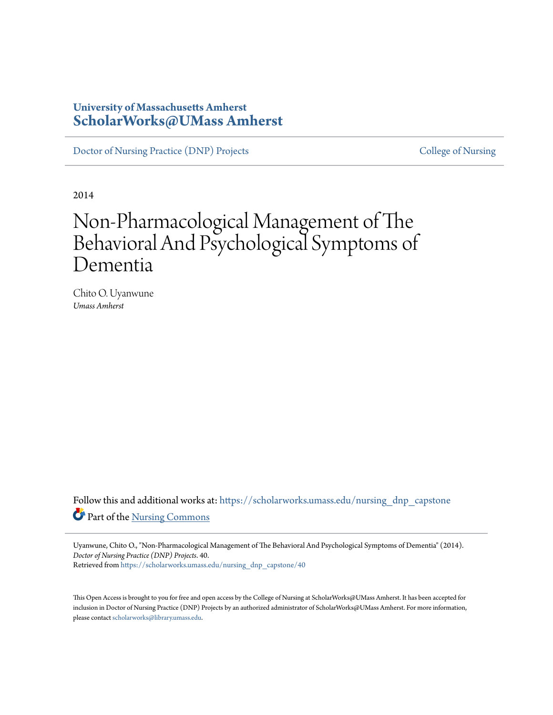# **University of Massachusetts Amherst [ScholarWorks@UMass Amherst](https://scholarworks.umass.edu?utm_source=scholarworks.umass.edu%2Fnursing_dnp_capstone%2F40&utm_medium=PDF&utm_campaign=PDFCoverPages)**

[Doctor of Nursing Practice \(DNP\) Projects](https://scholarworks.umass.edu/nursing_dnp_capstone?utm_source=scholarworks.umass.edu%2Fnursing_dnp_capstone%2F40&utm_medium=PDF&utm_campaign=PDFCoverPages) [College of Nursing](https://scholarworks.umass.edu/nursing?utm_source=scholarworks.umass.edu%2Fnursing_dnp_capstone%2F40&utm_medium=PDF&utm_campaign=PDFCoverPages)

2014

# Non-Pharmacological Management of The Behavioral And Psychological Symptoms of Dementia

Chito O. Uyanwune *Umass Amherst*

Follow this and additional works at: [https://scholarworks.umass.edu/nursing\\_dnp\\_capstone](https://scholarworks.umass.edu/nursing_dnp_capstone?utm_source=scholarworks.umass.edu%2Fnursing_dnp_capstone%2F40&utm_medium=PDF&utm_campaign=PDFCoverPages) Part of the [Nursing Commons](http://network.bepress.com/hgg/discipline/718?utm_source=scholarworks.umass.edu%2Fnursing_dnp_capstone%2F40&utm_medium=PDF&utm_campaign=PDFCoverPages)

Uyanwune, Chito O., "Non-Pharmacological Management of The Behavioral And Psychological Symptoms of Dementia" (2014). *Doctor of Nursing Practice (DNP) Projects*. 40. Retrieved from [https://scholarworks.umass.edu/nursing\\_dnp\\_capstone/40](https://scholarworks.umass.edu/nursing_dnp_capstone/40?utm_source=scholarworks.umass.edu%2Fnursing_dnp_capstone%2F40&utm_medium=PDF&utm_campaign=PDFCoverPages)

This Open Access is brought to you for free and open access by the College of Nursing at ScholarWorks@UMass Amherst. It has been accepted for inclusion in Doctor of Nursing Practice (DNP) Projects by an authorized administrator of ScholarWorks@UMass Amherst. For more information, please contact [scholarworks@library.umass.edu.](mailto:scholarworks@library.umass.edu)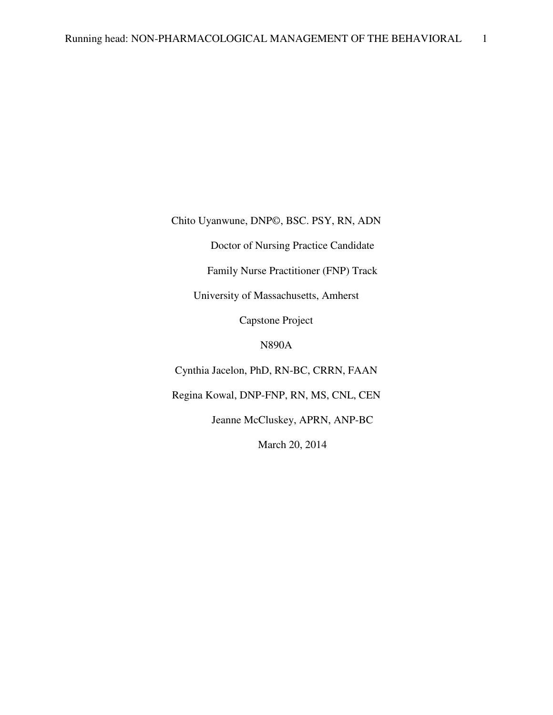Chito Uyanwune, DNP©, BSC. PSY, RN, ADN

Doctor of Nursing Practice Candidate

Family Nurse Practitioner (FNP) Track

University of Massachusetts, Amherst

Capstone Project

N890A

Cynthia Jacelon, PhD, RN-BC, CRRN, FAAN

Regina Kowal, DNP-FNP, RN, MS, CNL, CEN

Jeanne McCluskey, APRN, ANP-BC

March 20, 2014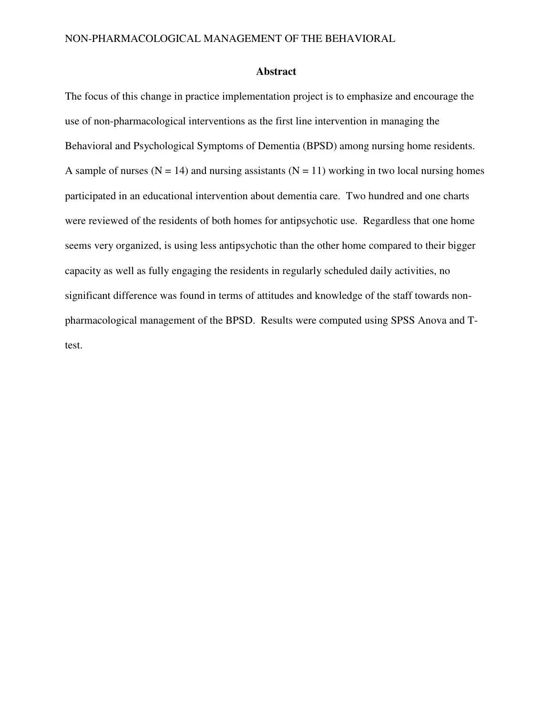#### **Abstract**

The focus of this change in practice implementation project is to emphasize and encourage the use of non-pharmacological interventions as the first line intervention in managing the Behavioral and Psychological Symptoms of Dementia (BPSD) among nursing home residents. A sample of nurses ( $N = 14$ ) and nursing assistants ( $N = 11$ ) working in two local nursing homes participated in an educational intervention about dementia care. Two hundred and one charts were reviewed of the residents of both homes for antipsychotic use. Regardless that one home seems very organized, is using less antipsychotic than the other home compared to their bigger capacity as well as fully engaging the residents in regularly scheduled daily activities, no significant difference was found in terms of attitudes and knowledge of the staff towards nonpharmacological management of the BPSD. Results were computed using SPSS Anova and Ttest.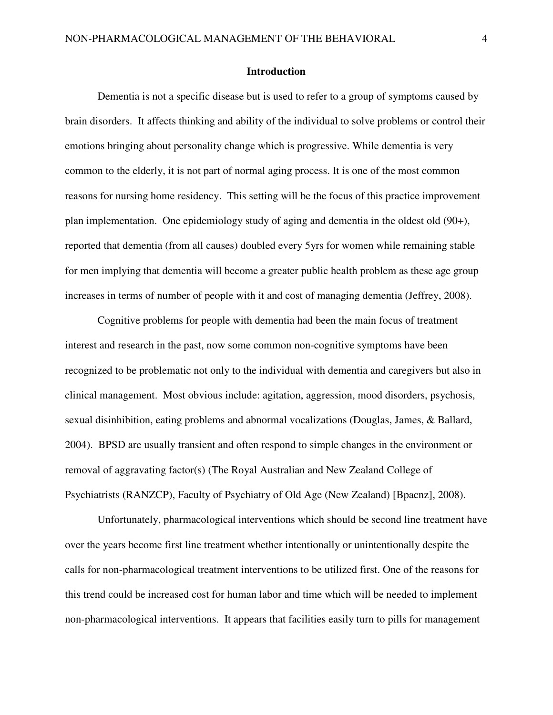#### **Introduction**

Dementia is not a specific disease but is used to refer to a group of symptoms caused by brain disorders. It affects thinking and ability of the individual to solve problems or control their emotions bringing about personality change which is progressive. While dementia is very common to the elderly, it is not part of normal aging process. It is one of the most common reasons for nursing home residency. This setting will be the focus of this practice improvement plan implementation. One epidemiology study of aging and dementia in the oldest old (90+), reported that dementia (from all causes) doubled every 5yrs for women while remaining stable for men implying that dementia will become a greater public health problem as these age group increases in terms of number of people with it and cost of managing dementia (Jeffrey, 2008).

Cognitive problems for people with dementia had been the main focus of treatment interest and research in the past, now some common non-cognitive symptoms have been recognized to be problematic not only to the individual with dementia and caregivers but also in clinical management. Most obvious include: agitation, aggression, mood disorders, psychosis, sexual disinhibition, eating problems and abnormal vocalizations (Douglas, James, & Ballard, 2004). BPSD are usually transient and often respond to simple changes in the environment or removal of aggravating factor(s) (The Royal Australian and New Zealand College of Psychiatrists (RANZCP), Faculty of Psychiatry of Old Age (New Zealand) [Bpacnz], 2008).

Unfortunately, pharmacological interventions which should be second line treatment have over the years become first line treatment whether intentionally or unintentionally despite the calls for non-pharmacological treatment interventions to be utilized first. One of the reasons for this trend could be increased cost for human labor and time which will be needed to implement non-pharmacological interventions. It appears that facilities easily turn to pills for management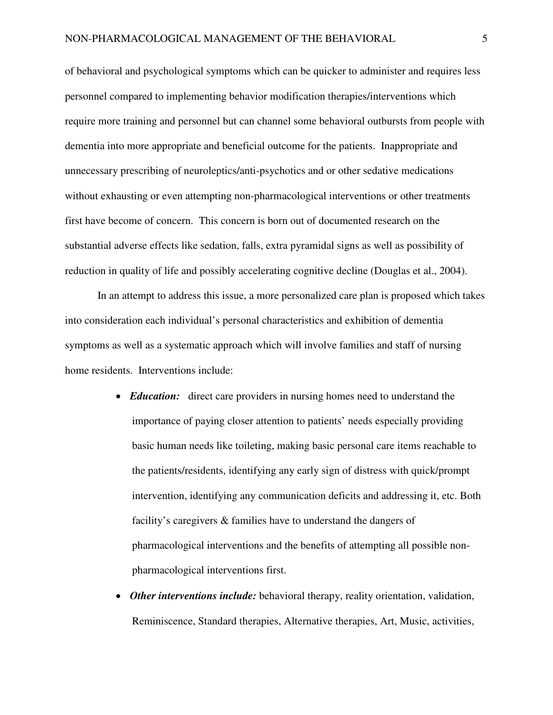of behavioral and psychological symptoms which can be quicker to administer and requires less personnel compared to implementing behavior modification therapies/interventions which require more training and personnel but can channel some behavioral outbursts from people with dementia into more appropriate and beneficial outcome for the patients. Inappropriate and unnecessary prescribing of neuroleptics/anti-psychotics and or other sedative medications without exhausting or even attempting non-pharmacological interventions or other treatments first have become of concern. This concern is born out of documented research on the substantial adverse effects like sedation, falls, extra pyramidal signs as well as possibility of reduction in quality of life and possibly accelerating cognitive decline (Douglas et al., 2004).

In an attempt to address this issue, a more personalized care plan is proposed which takes into consideration each individual's personal characteristics and exhibition of dementia symptoms as well as a systematic approach which will involve families and staff of nursing home residents. Interventions include:

- *Education:* direct care providers in nursing homes need to understand the importance of paying closer attention to patients' needs especially providing basic human needs like toileting, making basic personal care items reachable to the patients/residents, identifying any early sign of distress with quick/prompt intervention, identifying any communication deficits and addressing it, etc. Both facility's caregivers & families have to understand the dangers of pharmacological interventions and the benefits of attempting all possible nonpharmacological interventions first.
- *Other interventions include:* behavioral therapy, reality orientation, validation, Reminiscence, Standard therapies, Alternative therapies, Art, Music, activities,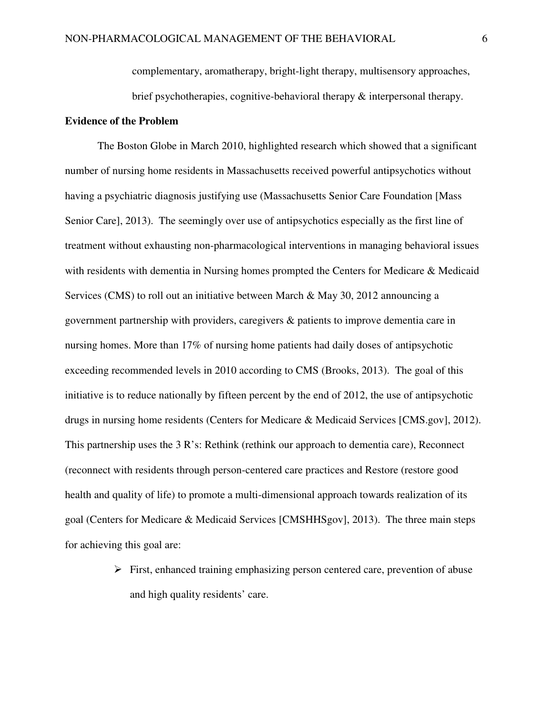complementary, aromatherapy, bright-light therapy, multisensory approaches, brief psychotherapies, cognitive-behavioral therapy & interpersonal therapy.

#### **Evidence of the Problem**

The Boston Globe in March 2010, highlighted research which showed that a significant number of nursing home residents in Massachusetts received powerful antipsychotics without having a psychiatric diagnosis justifying use (Massachusetts Senior Care Foundation [Mass Senior Care], 2013). The seemingly over use of antipsychotics especially as the first line of treatment without exhausting non-pharmacological interventions in managing behavioral issues with residents with dementia in Nursing homes prompted the Centers for Medicare & Medicaid Services (CMS) to roll out an initiative between March & May 30, 2012 announcing a government partnership with providers, caregivers & patients to improve dementia care in nursing homes. More than 17% of nursing home patients had daily doses of antipsychotic exceeding recommended levels in 2010 according to CMS (Brooks, 2013). The goal of this initiative is to reduce nationally by fifteen percent by the end of 2012, the use of antipsychotic drugs in nursing home residents (Centers for Medicare & Medicaid Services [CMS.gov], 2012). This partnership uses the 3 R's: Rethink (rethink our approach to dementia care), Reconnect (reconnect with residents through person-centered care practices and Restore (restore good health and quality of life) to promote a multi-dimensional approach towards realization of its goal (Centers for Medicare & Medicaid Services [CMSHHSgov], 2013). The three main steps for achieving this goal are:

> $\triangleright$  First, enhanced training emphasizing person centered care, prevention of abuse and high quality residents' care.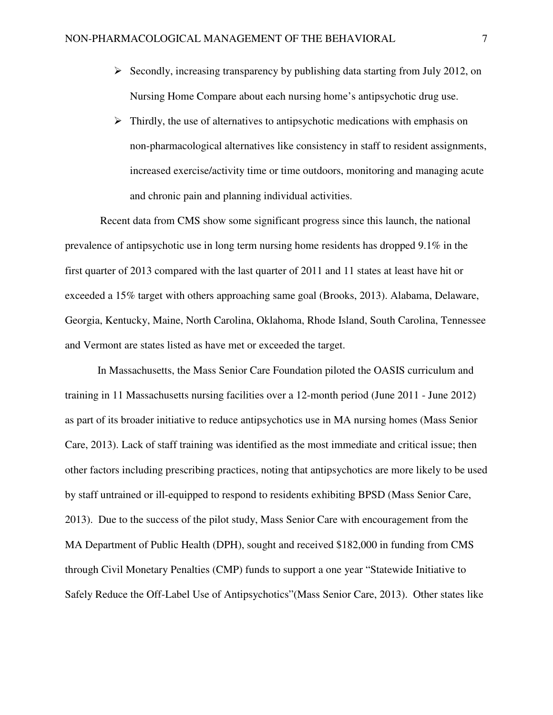- $\triangleright$  Secondly, increasing transparency by publishing data starting from July 2012, on Nursing Home Compare about each nursing home's antipsychotic drug use.
- $\triangleright$  Thirdly, the use of alternatives to antipsychotic medications with emphasis on non-pharmacological alternatives like consistency in staff to resident assignments, increased exercise/activity time or time outdoors, monitoring and managing acute and chronic pain and planning individual activities.

 Recent data from CMS show some significant progress since this launch, the national prevalence of antipsychotic use in long term nursing home residents has dropped 9.1% in the first quarter of 2013 compared with the last quarter of 2011 and 11 states at least have hit or exceeded a 15% target with others approaching same goal (Brooks, 2013). Alabama, Delaware, Georgia, Kentucky, Maine, North Carolina, Oklahoma, Rhode Island, South Carolina, Tennessee and Vermont are states listed as have met or exceeded the target.

In Massachusetts, the Mass Senior Care Foundation piloted the OASIS curriculum and training in 11 Massachusetts nursing facilities over a 12-month period (June 2011 - June 2012) as part of its broader initiative to reduce antipsychotics use in MA nursing homes (Mass Senior Care, 2013). Lack of staff training was identified as the most immediate and critical issue; then other factors including prescribing practices, noting that antipsychotics are more likely to be used by staff untrained or ill-equipped to respond to residents exhibiting BPSD (Mass Senior Care, 2013). Due to the success of the pilot study, Mass Senior Care with encouragement from the MA Department of Public Health (DPH), sought and received \$182,000 in funding from CMS through Civil Monetary Penalties (CMP) funds to support a one year "Statewide Initiative to Safely Reduce the Off-Label Use of Antipsychotics"(Mass Senior Care, 2013). Other states like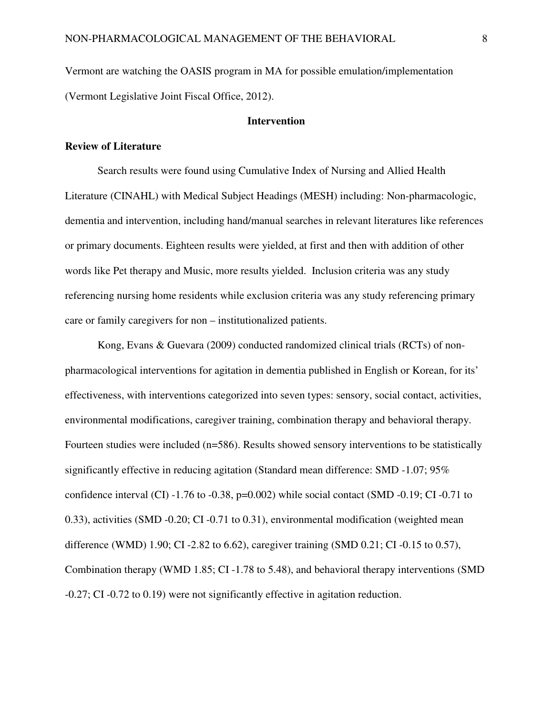Vermont are watching the OASIS program in MA for possible emulation/implementation (Vermont Legislative Joint Fiscal Office, 2012).

#### **Intervention**

#### **Review of Literature**

Search results were found using Cumulative Index of Nursing and Allied Health Literature (CINAHL) with Medical Subject Headings (MESH) including: Non-pharmacologic, dementia and intervention, including hand/manual searches in relevant literatures like references or primary documents. Eighteen results were yielded, at first and then with addition of other words like Pet therapy and Music, more results yielded. Inclusion criteria was any study referencing nursing home residents while exclusion criteria was any study referencing primary care or family caregivers for non – institutionalized patients.

Kong, Evans & Guevara (2009) conducted randomized clinical trials (RCTs) of nonpharmacological interventions for agitation in dementia published in English or Korean, for its' effectiveness, with interventions categorized into seven types: sensory, social contact, activities, environmental modifications, caregiver training, combination therapy and behavioral therapy. Fourteen studies were included (n=586). Results showed sensory interventions to be statistically significantly effective in reducing agitation (Standard mean difference: SMD -1.07; 95% confidence interval (CI)  $-1.76$  to  $-0.38$ , p=0.002) while social contact (SMD  $-0.19$ ; CI  $-0.71$  to 0.33), activities (SMD -0.20; CI -0.71 to 0.31), environmental modification (weighted mean difference (WMD) 1.90; CI -2.82 to 6.62), caregiver training (SMD 0.21; CI -0.15 to 0.57), Combination therapy (WMD 1.85; CI -1.78 to 5.48), and behavioral therapy interventions (SMD -0.27; CI -0.72 to 0.19) were not significantly effective in agitation reduction.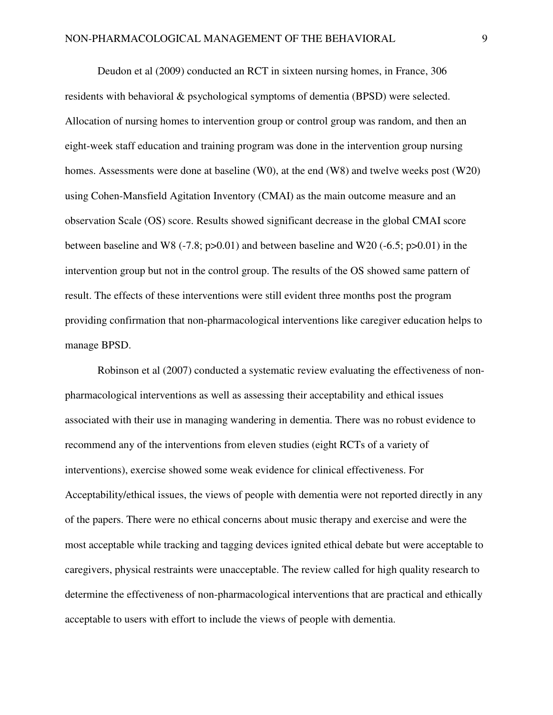Deudon et al (2009) conducted an RCT in sixteen nursing homes, in France, 306 residents with behavioral & psychological symptoms of dementia (BPSD) were selected. Allocation of nursing homes to intervention group or control group was random, and then an eight-week staff education and training program was done in the intervention group nursing homes. Assessments were done at baseline (W0), at the end (W8) and twelve weeks post (W20) using Cohen-Mansfield Agitation Inventory (CMAI) as the main outcome measure and an observation Scale (OS) score. Results showed significant decrease in the global CMAI score between baseline and W8 (-7.8;  $p > 0.01$ ) and between baseline and W20 (-6.5;  $p > 0.01$ ) in the intervention group but not in the control group. The results of the OS showed same pattern of result. The effects of these interventions were still evident three months post the program providing confirmation that non-pharmacological interventions like caregiver education helps to manage BPSD.

Robinson et al (2007) conducted a systematic review evaluating the effectiveness of nonpharmacological interventions as well as assessing their acceptability and ethical issues associated with their use in managing wandering in dementia. There was no robust evidence to recommend any of the interventions from eleven studies (eight RCTs of a variety of interventions), exercise showed some weak evidence for clinical effectiveness. For Acceptability/ethical issues, the views of people with dementia were not reported directly in any of the papers. There were no ethical concerns about music therapy and exercise and were the most acceptable while tracking and tagging devices ignited ethical debate but were acceptable to caregivers, physical restraints were unacceptable. The review called for high quality research to determine the effectiveness of non-pharmacological interventions that are practical and ethically acceptable to users with effort to include the views of people with dementia.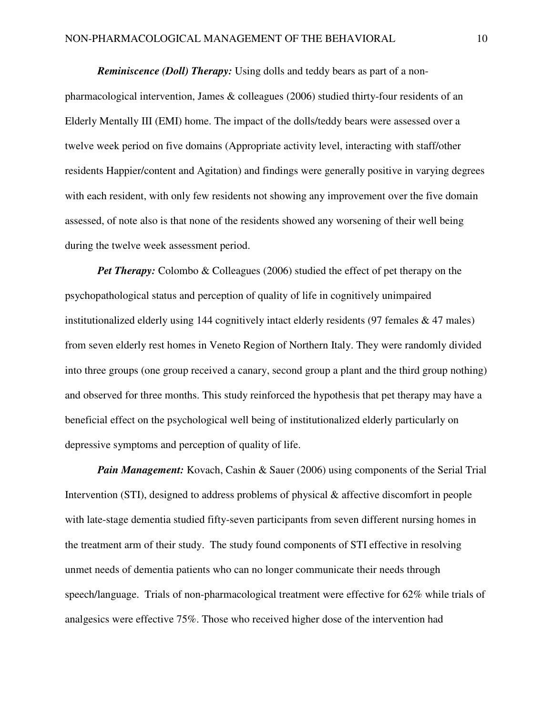*Reminiscence (Doll) Therapy:* Using dolls and teddy bears as part of a nonpharmacological intervention, James & colleagues (2006) studied thirty-four residents of an Elderly Mentally III (EMI) home. The impact of the dolls/teddy bears were assessed over a twelve week period on five domains (Appropriate activity level, interacting with staff/other residents Happier/content and Agitation) and findings were generally positive in varying degrees with each resident, with only few residents not showing any improvement over the five domain assessed, of note also is that none of the residents showed any worsening of their well being during the twelve week assessment period.

*Pet Therapy:* Colombo & Colleagues (2006) studied the effect of pet therapy on the psychopathological status and perception of quality of life in cognitively unimpaired institutionalized elderly using 144 cognitively intact elderly residents  $(97$  females  $\& 47$  males) from seven elderly rest homes in Veneto Region of Northern Italy. They were randomly divided into three groups (one group received a canary, second group a plant and the third group nothing) and observed for three months. This study reinforced the hypothesis that pet therapy may have a beneficial effect on the psychological well being of institutionalized elderly particularly on depressive symptoms and perception of quality of life.

*Pain Management:* Kovach, Cashin & Sauer (2006) using components of the Serial Trial Intervention (STI), designed to address problems of physical & affective discomfort in people with late-stage dementia studied fifty-seven participants from seven different nursing homes in the treatment arm of their study. The study found components of STI effective in resolving unmet needs of dementia patients who can no longer communicate their needs through speech/language. Trials of non-pharmacological treatment were effective for 62% while trials of analgesics were effective 75%. Those who received higher dose of the intervention had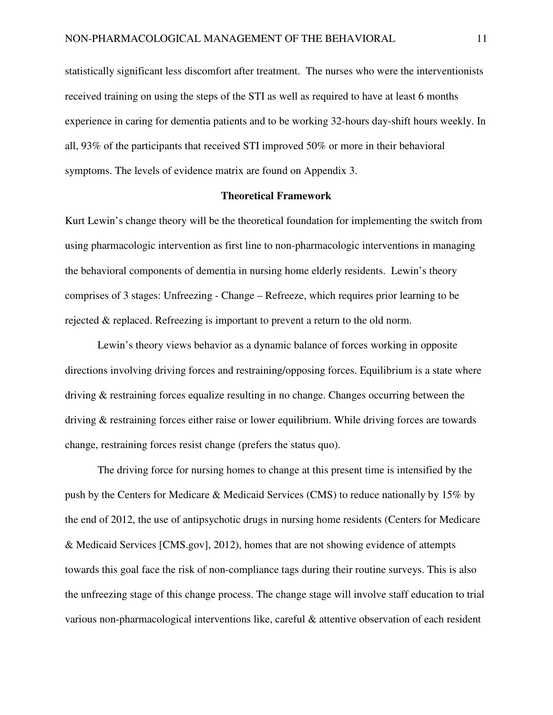statistically significant less discomfort after treatment. The nurses who were the interventionists received training on using the steps of the STI as well as required to have at least 6 months experience in caring for dementia patients and to be working 32-hours day-shift hours weekly. In all, 93% of the participants that received STI improved 50% or more in their behavioral symptoms. The levels of evidence matrix are found on Appendix 3.

#### **Theoretical Framework**

Kurt Lewin's change theory will be the theoretical foundation for implementing the switch from using pharmacologic intervention as first line to non-pharmacologic interventions in managing the behavioral components of dementia in nursing home elderly residents. Lewin's theory comprises of 3 stages: Unfreezing - Change – Refreeze, which requires prior learning to be rejected & replaced. Refreezing is important to prevent a return to the old norm.

Lewin's theory views behavior as a dynamic balance of forces working in opposite directions involving driving forces and restraining/opposing forces. Equilibrium is a state where driving & restraining forces equalize resulting in no change. Changes occurring between the driving & restraining forces either raise or lower equilibrium. While driving forces are towards change, restraining forces resist change (prefers the status quo).

The driving force for nursing homes to change at this present time is intensified by the push by the Centers for Medicare & Medicaid Services (CMS) to reduce nationally by 15% by the end of 2012, the use of antipsychotic drugs in nursing home residents (Centers for Medicare & Medicaid Services [CMS.gov], 2012), homes that are not showing evidence of attempts towards this goal face the risk of non-compliance tags during their routine surveys. This is also the unfreezing stage of this change process. The change stage will involve staff education to trial various non-pharmacological interventions like, careful & attentive observation of each resident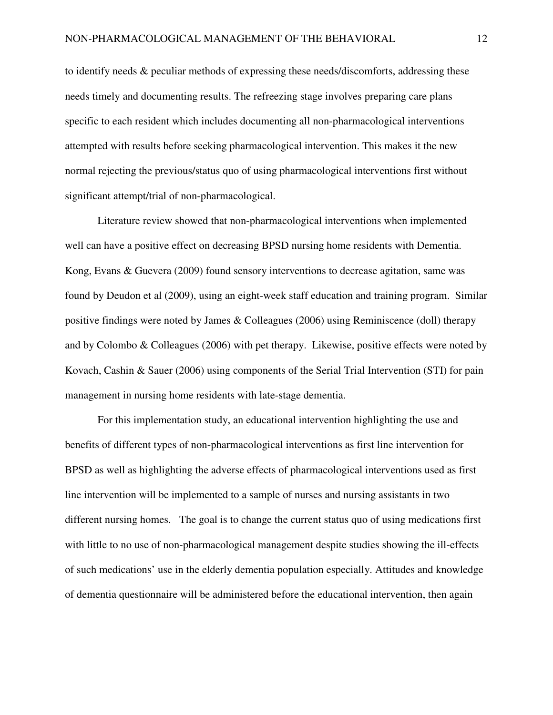to identify needs & peculiar methods of expressing these needs/discomforts, addressing these needs timely and documenting results. The refreezing stage involves preparing care plans specific to each resident which includes documenting all non-pharmacological interventions attempted with results before seeking pharmacological intervention. This makes it the new normal rejecting the previous/status quo of using pharmacological interventions first without significant attempt/trial of non-pharmacological.

Literature review showed that non-pharmacological interventions when implemented well can have a positive effect on decreasing BPSD nursing home residents with Dementia. Kong, Evans & Guevera (2009) found sensory interventions to decrease agitation, same was found by Deudon et al (2009), using an eight-week staff education and training program. Similar positive findings were noted by James & Colleagues (2006) using Reminiscence (doll) therapy and by Colombo & Colleagues (2006) with pet therapy. Likewise, positive effects were noted by Kovach, Cashin & Sauer (2006) using components of the Serial Trial Intervention (STI) for pain management in nursing home residents with late-stage dementia.

For this implementation study, an educational intervention highlighting the use and benefits of different types of non-pharmacological interventions as first line intervention for BPSD as well as highlighting the adverse effects of pharmacological interventions used as first line intervention will be implemented to a sample of nurses and nursing assistants in two different nursing homes. The goal is to change the current status quo of using medications first with little to no use of non-pharmacological management despite studies showing the ill-effects of such medications' use in the elderly dementia population especially. Attitudes and knowledge of dementia questionnaire will be administered before the educational intervention, then again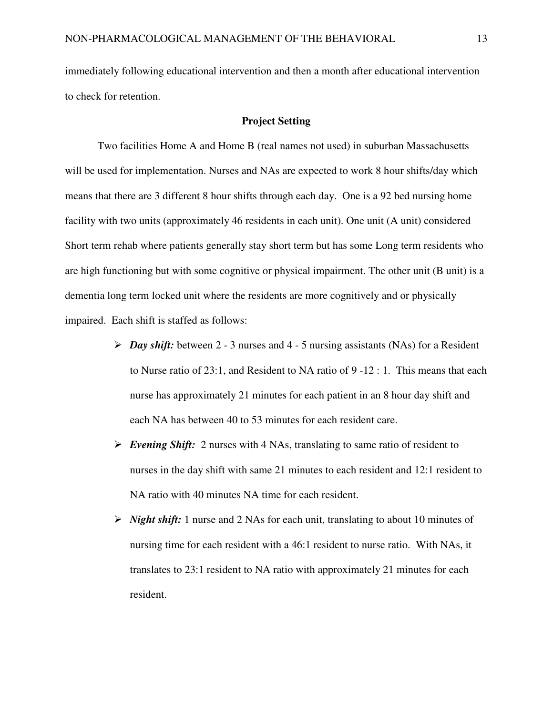immediately following educational intervention and then a month after educational intervention to check for retention.

#### **Project Setting**

Two facilities Home A and Home B (real names not used) in suburban Massachusetts will be used for implementation. Nurses and NAs are expected to work 8 hour shifts/day which means that there are 3 different 8 hour shifts through each day. One is a 92 bed nursing home facility with two units (approximately 46 residents in each unit). One unit (A unit) considered Short term rehab where patients generally stay short term but has some Long term residents who are high functioning but with some cognitive or physical impairment. The other unit (B unit) is a dementia long term locked unit where the residents are more cognitively and or physically impaired. Each shift is staffed as follows:

- *Day shift:* between 2 3 nurses and 4 5 nursing assistants (NAs) for a Resident to Nurse ratio of 23:1, and Resident to NA ratio of 9 -12 : 1. This means that each nurse has approximately 21 minutes for each patient in an 8 hour day shift and each NA has between 40 to 53 minutes for each resident care.
- *Evening Shift:* 2 nurses with 4 NAs, translating to same ratio of resident to nurses in the day shift with same 21 minutes to each resident and 12:1 resident to NA ratio with 40 minutes NA time for each resident.
- *Night shift:* 1 nurse and 2 NAs for each unit, translating to about 10 minutes of nursing time for each resident with a 46:1 resident to nurse ratio. With NAs, it translates to 23:1 resident to NA ratio with approximately 21 minutes for each resident.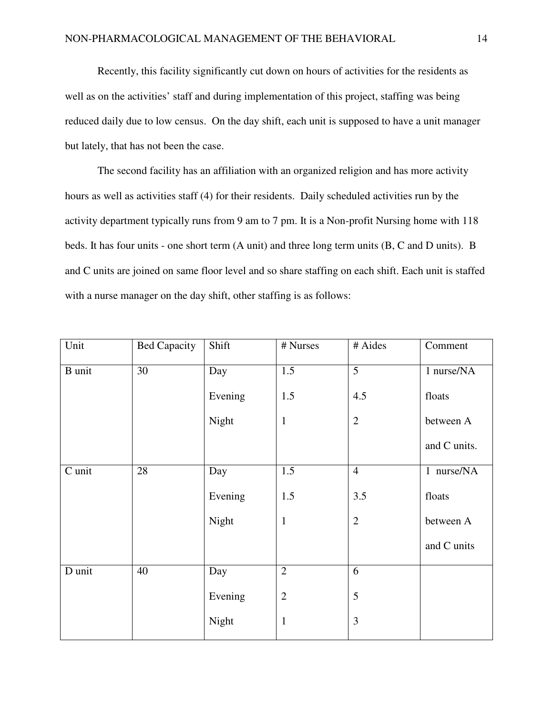Recently, this facility significantly cut down on hours of activities for the residents as well as on the activities' staff and during implementation of this project, staffing was being reduced daily due to low census. On the day shift, each unit is supposed to have a unit manager but lately, that has not been the case.

The second facility has an affiliation with an organized religion and has more activity hours as well as activities staff (4) for their residents. Daily scheduled activities run by the activity department typically runs from 9 am to 7 pm. It is a Non-profit Nursing home with 118 beds. It has four units - one short term (A unit) and three long term units (B, C and D units). B and C units are joined on same floor level and so share staffing on each shift. Each unit is staffed with a nurse manager on the day shift, other staffing is as follows:

| Unit          | <b>Bed Capacity</b> | Shift   | # Nurses       | # Aides        | Comment      |
|---------------|---------------------|---------|----------------|----------------|--------------|
| <b>B</b> unit | 30                  | Day     | 1.5            | $\overline{5}$ | 1 nurse/NA   |
|               |                     | Evening | 1.5            | 4.5            | floats       |
|               |                     | Night   | $\mathbf{1}$   | $\overline{2}$ | between A    |
|               |                     |         |                |                | and C units. |
| C unit        | 28                  | Day     | 1.5            | $\overline{4}$ | 1 nurse/NA   |
|               |                     | Evening | 1.5            | 3.5            | floats       |
|               |                     | Night   | $\mathbf{1}$   | $\mathbf{2}$   | between A    |
|               |                     |         |                |                | and C units  |
| D unit        | 40                  | Day     | $\overline{2}$ | 6              |              |
|               |                     | Evening | $\overline{2}$ | 5              |              |
|               |                     | Night   | $\mathbf{1}$   | 3              |              |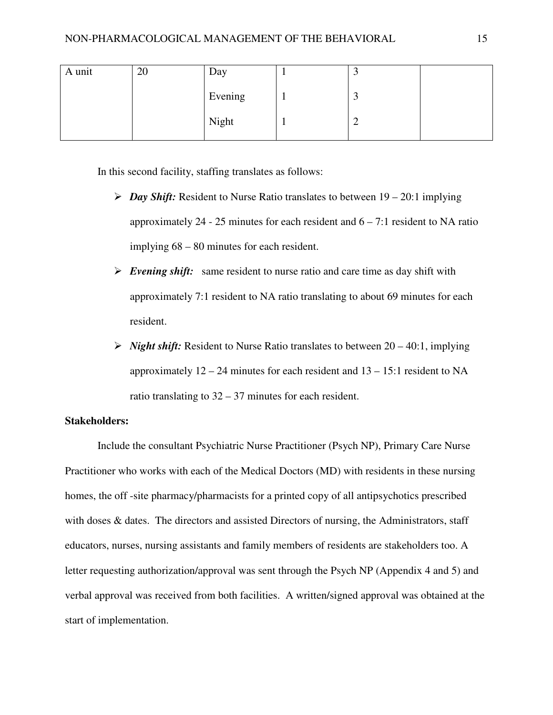| A unit | 20 | Day     | ت |  |
|--------|----|---------|---|--|
|        |    | Evening | ت |  |
|        |    | Night   | ∼ |  |

In this second facility, staffing translates as follows:

- $\triangleright$  *Day Shift:* Resident to Nurse Ratio translates to between  $19 20:1$  implying approximately 24 - 25 minutes for each resident and  $6 - 7:1$  resident to NA ratio implying 68 – 80 minutes for each resident.
- *Evening shift:* same resident to nurse ratio and care time as day shift with approximately 7:1 resident to NA ratio translating to about 69 minutes for each resident.
- $\triangleright$  *Night shift:* Resident to Nurse Ratio translates to between 20 40:1, implying approximately  $12 - 24$  minutes for each resident and  $13 - 15$ :1 resident to NA ratio translating to 32 – 37 minutes for each resident.

## **Stakeholders:**

Include the consultant Psychiatric Nurse Practitioner (Psych NP), Primary Care Nurse Practitioner who works with each of the Medical Doctors (MD) with residents in these nursing homes, the off -site pharmacy/pharmacists for a printed copy of all antipsychotics prescribed with doses & dates. The directors and assisted Directors of nursing, the Administrators, staff educators, nurses, nursing assistants and family members of residents are stakeholders too. A letter requesting authorization/approval was sent through the Psych NP (Appendix 4 and 5) and verbal approval was received from both facilities. A written/signed approval was obtained at the start of implementation.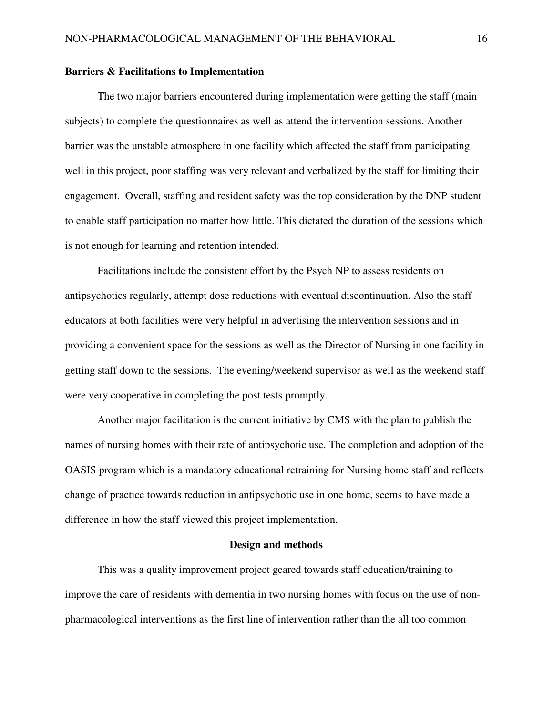#### **Barriers & Facilitations to Implementation**

The two major barriers encountered during implementation were getting the staff (main subjects) to complete the questionnaires as well as attend the intervention sessions. Another barrier was the unstable atmosphere in one facility which affected the staff from participating well in this project, poor staffing was very relevant and verbalized by the staff for limiting their engagement. Overall, staffing and resident safety was the top consideration by the DNP student to enable staff participation no matter how little. This dictated the duration of the sessions which is not enough for learning and retention intended.

Facilitations include the consistent effort by the Psych NP to assess residents on antipsychotics regularly, attempt dose reductions with eventual discontinuation. Also the staff educators at both facilities were very helpful in advertising the intervention sessions and in providing a convenient space for the sessions as well as the Director of Nursing in one facility in getting staff down to the sessions. The evening/weekend supervisor as well as the weekend staff were very cooperative in completing the post tests promptly.

Another major facilitation is the current initiative by CMS with the plan to publish the names of nursing homes with their rate of antipsychotic use. The completion and adoption of the OASIS program which is a mandatory educational retraining for Nursing home staff and reflects change of practice towards reduction in antipsychotic use in one home, seems to have made a difference in how the staff viewed this project implementation.

#### **Design and methods**

This was a quality improvement project geared towards staff education/training to improve the care of residents with dementia in two nursing homes with focus on the use of nonpharmacological interventions as the first line of intervention rather than the all too common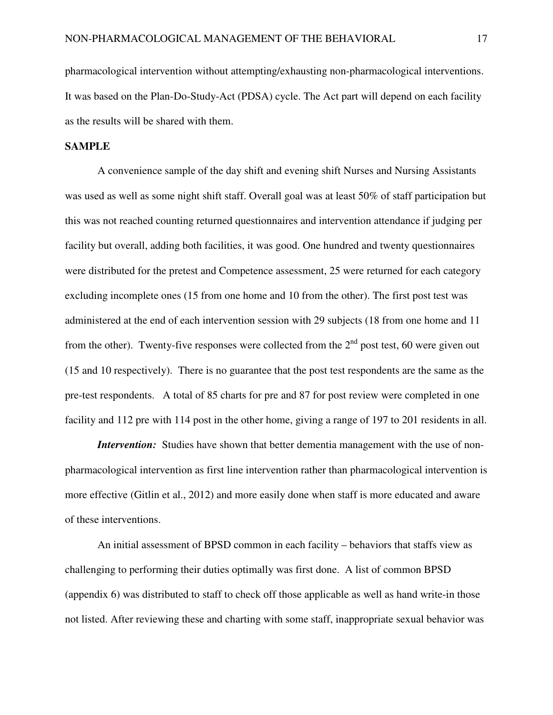pharmacological intervention without attempting/exhausting non-pharmacological interventions. It was based on the Plan-Do-Study-Act (PDSA) cycle. The Act part will depend on each facility as the results will be shared with them.

#### **SAMPLE**

A convenience sample of the day shift and evening shift Nurses and Nursing Assistants was used as well as some night shift staff. Overall goal was at least 50% of staff participation but this was not reached counting returned questionnaires and intervention attendance if judging per facility but overall, adding both facilities, it was good. One hundred and twenty questionnaires were distributed for the pretest and Competence assessment, 25 were returned for each category excluding incomplete ones (15 from one home and 10 from the other). The first post test was administered at the end of each intervention session with 29 subjects (18 from one home and 11 from the other). Twenty-five responses were collected from the  $2<sup>nd</sup>$  post test, 60 were given out (15 and 10 respectively). There is no guarantee that the post test respondents are the same as the pre-test respondents. A total of 85 charts for pre and 87 for post review were completed in one facility and 112 pre with 114 post in the other home, giving a range of 197 to 201 residents in all.

*Intervention:* Studies have shown that better dementia management with the use of nonpharmacological intervention as first line intervention rather than pharmacological intervention is more effective (Gitlin et al., 2012) and more easily done when staff is more educated and aware of these interventions.

An initial assessment of BPSD common in each facility – behaviors that staffs view as challenging to performing their duties optimally was first done. A list of common BPSD (appendix 6) was distributed to staff to check off those applicable as well as hand write-in those not listed. After reviewing these and charting with some staff, inappropriate sexual behavior was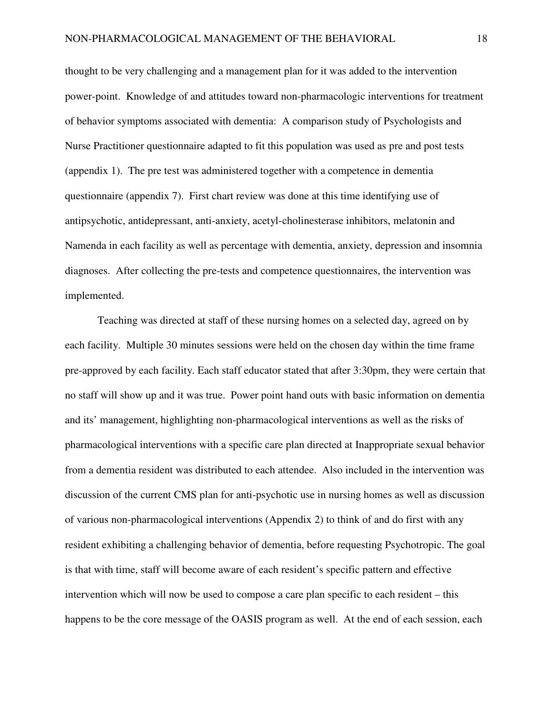thought to be very challenging and a management plan for it was added to the intervention power-point. Knowledge of and attitudes toward non-pharmacologic interventions for treatment of behavior symptoms associated with dementia: A comparison study of Psychologists and Nurse Practitioner questionnaire adapted to fit this population was used as pre and post tests (appendix 1). The pre test was administered together with a competence in dementia questionnaire (appendix 7). First chart review was done at this time identifying use of antipsychotic, antidepressant, anti-anxiety, acetyl-cholinesterase inhibitors, melatonin and Namenda in each facility as well as percentage with dementia, anxiety, depression and insomnia diagnoses. After collecting the pre-tests and competence questionnaires, the intervention was implemented.

Teaching was directed at staff of these nursing homes on a selected day, agreed on by each facility. Multiple 30 minutes sessions were held on the chosen day within the time frame pre-approved by each facility. Each staff educator stated that after 3:30pm, they were certain that no staff will show up and it was true. Power point hand outs with basic information on dementia and its' management, highlighting non-pharmacological interventions as well as the risks of pharmacological interventions with a specific care plan directed at Inappropriate sexual behavior from a dementia resident was distributed to each attendee. Also included in the intervention was discussion of the current CMS plan for anti-psychotic use in nursing homes as well as discussion of various non-pharmacological interventions (Appendix 2) to think of and do first with any resident exhibiting a challenging behavior of dementia, before requesting Psychotropic. The goal is that with time, staff will become aware of each resident's specific pattern and effective intervention which will now be used to compose a care plan specific to each resident – this happens to be the core message of the OASIS program as well. At the end of each session, each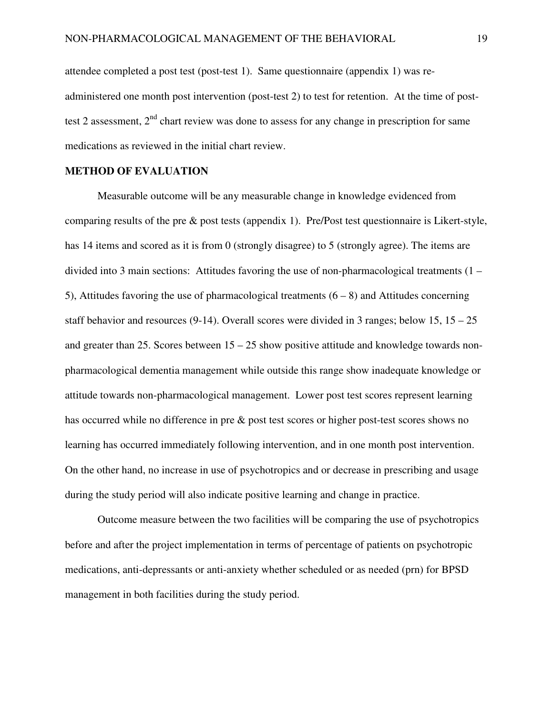attendee completed a post test (post-test 1). Same questionnaire (appendix 1) was readministered one month post intervention (post-test 2) to test for retention. At the time of posttest 2 assessment,  $2<sup>nd</sup>$  chart review was done to assess for any change in prescription for same medications as reviewed in the initial chart review.

### **METHOD OF EVALUATION**

Measurable outcome will be any measurable change in knowledge evidenced from comparing results of the pre & post tests (appendix 1). Pre/Post test questionnaire is Likert-style, has 14 items and scored as it is from 0 (strongly disagree) to 5 (strongly agree). The items are divided into 3 main sections: Attitudes favoring the use of non-pharmacological treatments (1 – 5), Attitudes favoring the use of pharmacological treatments  $(6 - 8)$  and Attitudes concerning staff behavior and resources (9-14). Overall scores were divided in 3 ranges; below 15,  $15 - 25$ and greater than 25. Scores between  $15 - 25$  show positive attitude and knowledge towards nonpharmacological dementia management while outside this range show inadequate knowledge or attitude towards non-pharmacological management. Lower post test scores represent learning has occurred while no difference in pre & post test scores or higher post-test scores shows no learning has occurred immediately following intervention, and in one month post intervention. On the other hand, no increase in use of psychotropics and or decrease in prescribing and usage during the study period will also indicate positive learning and change in practice.

Outcome measure between the two facilities will be comparing the use of psychotropics before and after the project implementation in terms of percentage of patients on psychotropic medications, anti-depressants or anti-anxiety whether scheduled or as needed (prn) for BPSD management in both facilities during the study period.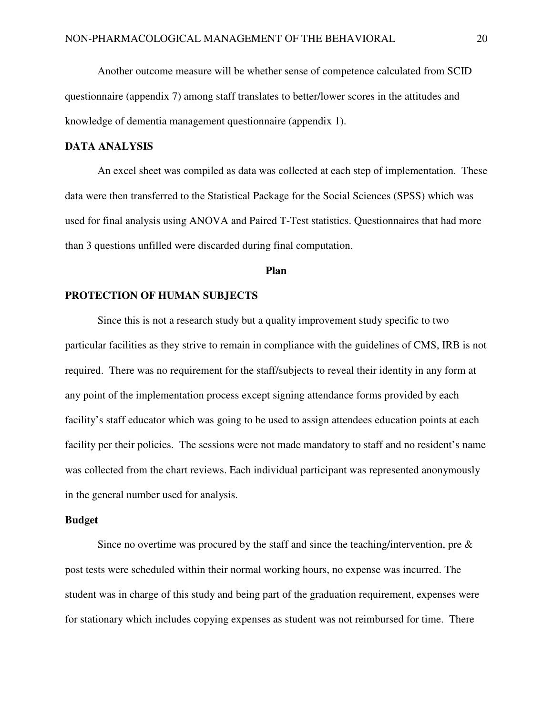Another outcome measure will be whether sense of competence calculated from SCID questionnaire (appendix 7) among staff translates to better/lower scores in the attitudes and knowledge of dementia management questionnaire (appendix 1).

## **DATA ANALYSIS**

An excel sheet was compiled as data was collected at each step of implementation. These data were then transferred to the Statistical Package for the Social Sciences (SPSS) which was used for final analysis using ANOVA and Paired T-Test statistics. Questionnaires that had more than 3 questions unfilled were discarded during final computation.

#### **Plan**

#### **PROTECTION OF HUMAN SUBJECTS**

Since this is not a research study but a quality improvement study specific to two particular facilities as they strive to remain in compliance with the guidelines of CMS, IRB is not required. There was no requirement for the staff/subjects to reveal their identity in any form at any point of the implementation process except signing attendance forms provided by each facility's staff educator which was going to be used to assign attendees education points at each facility per their policies. The sessions were not made mandatory to staff and no resident's name was collected from the chart reviews. Each individual participant was represented anonymously in the general number used for analysis.

#### **Budget**

Since no overtime was procured by the staff and since the teaching/intervention, pre  $\&$ post tests were scheduled within their normal working hours, no expense was incurred. The student was in charge of this study and being part of the graduation requirement, expenses were for stationary which includes copying expenses as student was not reimbursed for time. There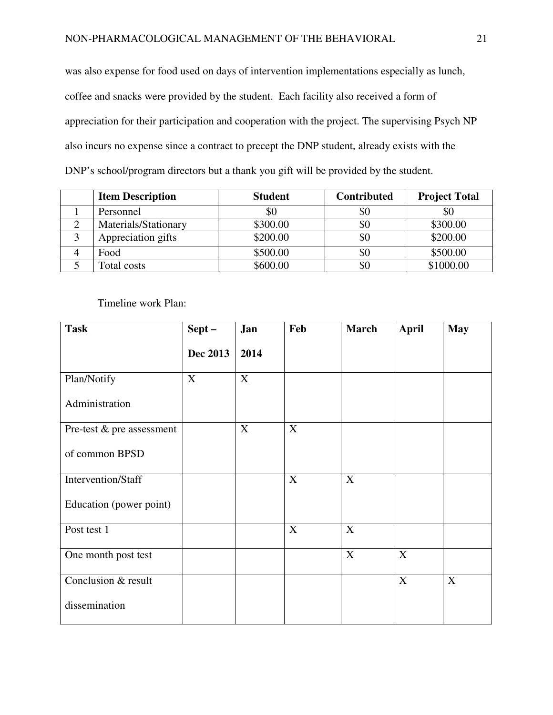was also expense for food used on days of intervention implementations especially as lunch, coffee and snacks were provided by the student. Each facility also received a form of appreciation for their participation and cooperation with the project. The supervising Psych NP also incurs no expense since a contract to precept the DNP student, already exists with the DNP's school/program directors but a thank you gift will be provided by the student.

| <b>Item Description</b> | <b>Student</b> | <b>Contributed</b> | <b>Project Total</b> |
|-------------------------|----------------|--------------------|----------------------|
| Personnel               | \$0            | \$0                | υU                   |
| Materials/Stationary    | \$300.00       | \$0                | \$300.00             |
| Appreciation gifts      | \$200.00       | \$0                | \$200.00             |
| Food                    | \$500.00       | \$0                | \$500.00             |
| Total costs             | \$600.00       | \$0                | \$1000.00            |

Timeline work Plan:

| <b>Task</b>               | $Sept -$        | Jan         | Feb         | <b>March</b> | <b>April</b> | <b>May</b>  |
|---------------------------|-----------------|-------------|-------------|--------------|--------------|-------------|
|                           | <b>Dec 2013</b> | 2014        |             |              |              |             |
| Plan/Notify               | X               | $\mathbf X$ |             |              |              |             |
| Administration            |                 |             |             |              |              |             |
| Pre-test & pre assessment |                 | X           | X           |              |              |             |
| of common BPSD            |                 |             |             |              |              |             |
| Intervention/Staff        |                 |             | X           | X            |              |             |
| Education (power point)   |                 |             |             |              |              |             |
| Post test 1               |                 |             | $\mathbf X$ | $\mathbf X$  |              |             |
| One month post test       |                 |             |             | X            | $\mathbf X$  |             |
| Conclusion & result       |                 |             |             |              | X            | $\mathbf X$ |
| dissemination             |                 |             |             |              |              |             |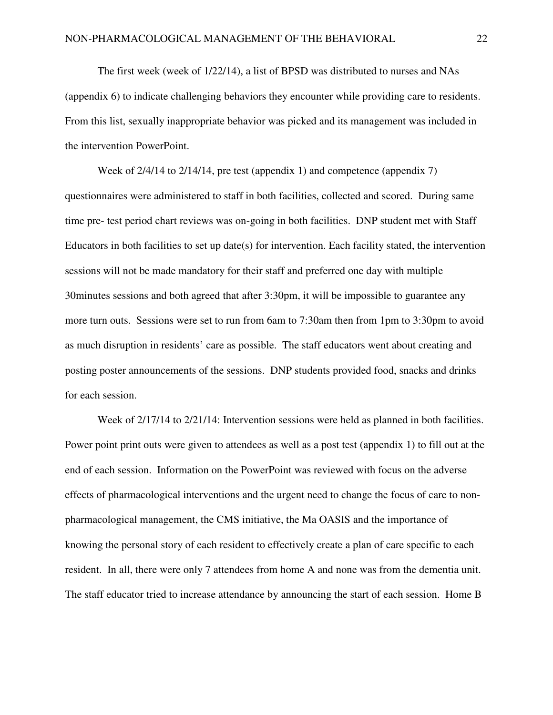The first week (week of 1/22/14), a list of BPSD was distributed to nurses and NAs (appendix 6) to indicate challenging behaviors they encounter while providing care to residents. From this list, sexually inappropriate behavior was picked and its management was included in the intervention PowerPoint.

Week of 2/4/14 to 2/14/14, pre test (appendix 1) and competence (appendix 7) questionnaires were administered to staff in both facilities, collected and scored. During same time pre- test period chart reviews was on-going in both facilities. DNP student met with Staff Educators in both facilities to set up date(s) for intervention. Each facility stated, the intervention sessions will not be made mandatory for their staff and preferred one day with multiple 30minutes sessions and both agreed that after 3:30pm, it will be impossible to guarantee any more turn outs. Sessions were set to run from 6am to 7:30am then from 1pm to 3:30pm to avoid as much disruption in residents' care as possible. The staff educators went about creating and posting poster announcements of the sessions. DNP students provided food, snacks and drinks for each session.

Week of  $2/17/14$  to  $2/21/14$ : Intervention sessions were held as planned in both facilities. Power point print outs were given to attendees as well as a post test (appendix 1) to fill out at the end of each session. Information on the PowerPoint was reviewed with focus on the adverse effects of pharmacological interventions and the urgent need to change the focus of care to nonpharmacological management, the CMS initiative, the Ma OASIS and the importance of knowing the personal story of each resident to effectively create a plan of care specific to each resident. In all, there were only 7 attendees from home A and none was from the dementia unit. The staff educator tried to increase attendance by announcing the start of each session. Home B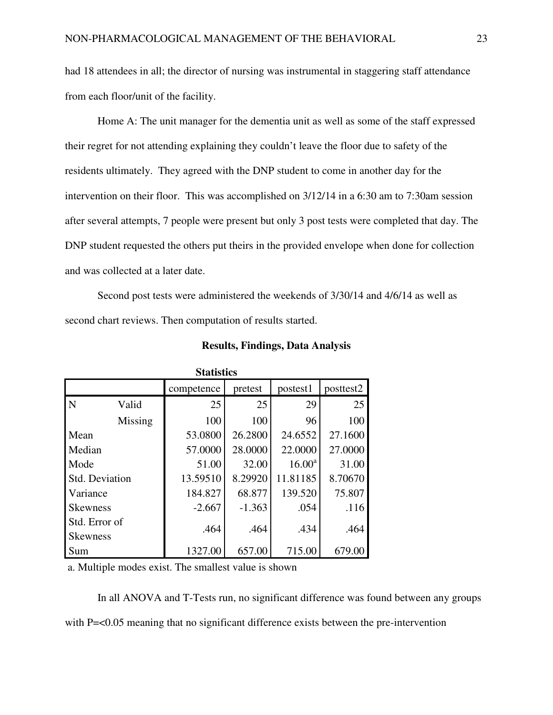had 18 attendees in all; the director of nursing was instrumental in staggering staff attendance from each floor/unit of the facility.

Home A: The unit manager for the dementia unit as well as some of the staff expressed their regret for not attending explaining they couldn't leave the floor due to safety of the residents ultimately. They agreed with the DNP student to come in another day for the intervention on their floor. This was accomplished on 3/12/14 in a 6:30 am to 7:30am session after several attempts, 7 people were present but only 3 post tests were completed that day. The DNP student requested the others put theirs in the provided envelope when done for collection and was collected at a later date.

Second post tests were administered the weekends of 3/30/14 and 4/6/14 as well as second chart reviews. Then computation of results started.

| <b>Statistics</b> |                |            |          |                 |           |  |  |  |  |
|-------------------|----------------|------------|----------|-----------------|-----------|--|--|--|--|
|                   |                | competence | pretest  | postest1        | posttest2 |  |  |  |  |
| N                 | Valid          | 25         | 25       | 29              | 25        |  |  |  |  |
|                   | Missing        | 100        | 100      | 96              | 100       |  |  |  |  |
| Mean              |                | 53.0800    | 26.2800  | 24.6552         | 27.1600   |  |  |  |  |
| Median            |                | 57.0000    | 28.0000  | 22.0000         | 27.0000   |  |  |  |  |
| Mode              |                | 51.00      | 32.00    | $16.00^{\rm a}$ | 31.00     |  |  |  |  |
|                   | Std. Deviation | 13.59510   | 8.29920  | 11.81185        | 8.70670   |  |  |  |  |
| Variance          |                | 184.827    | 68.877   | 139.520         | 75.807    |  |  |  |  |
| <b>Skewness</b>   |                | $-2.667$   | $-1.363$ | .054            | .116      |  |  |  |  |
| Std. Error of     |                | .464       | .464     | .434            | .464      |  |  |  |  |
| <b>Skewness</b>   |                |            |          |                 |           |  |  |  |  |
| Sum               |                | 1327.00    | 657.00   | 715.00          | 679.00    |  |  |  |  |

**Results, Findings, Data Analysis** 

a. Multiple modes exist. The smallest value is shown

In all ANOVA and T-Tests run, no significant difference was found between any groups with P=<0.05 meaning that no significant difference exists between the pre-intervention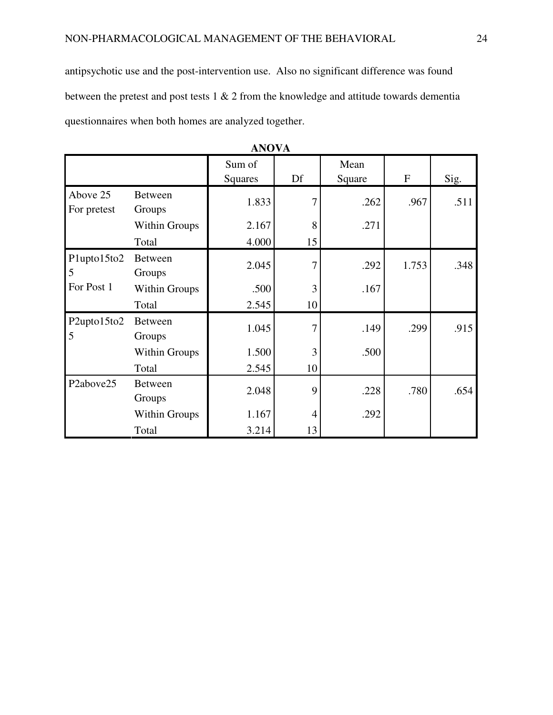antipsychotic use and the post-intervention use. Also no significant difference was found between the pretest and post tests 1 & 2 from the knowledge and attitude towards dementia questionnaires when both homes are analyzed together.

|                                    |                          | Sum of<br><b>Squares</b> | Df             | Mean<br>Square | $\boldsymbol{F}$ | Sig. |
|------------------------------------|--------------------------|--------------------------|----------------|----------------|------------------|------|
| Above 25<br>For pretest            | <b>Between</b><br>Groups | 1.833                    | $\overline{7}$ | .262           | .967             | .511 |
|                                    | <b>Within Groups</b>     | 2.167                    | 8              | .271           |                  |      |
|                                    | Total                    | 4.000                    | 15             |                |                  |      |
| Plupto15to2<br>5                   | <b>Between</b><br>Groups | 2.045                    | 7              | .292           | 1.753            | .348 |
| For Post 1                         | <b>Within Groups</b>     | .500                     | 3              | .167           |                  |      |
|                                    | Total                    | 2.545                    | 10             |                |                  |      |
| P2upto15to2<br>5                   | <b>Between</b><br>Groups | 1.045                    | 7              | .149           | .299             | .915 |
|                                    | <b>Within Groups</b>     | 1.500                    | 3              | .500           |                  |      |
|                                    | Total                    | 2.545                    | 10             |                |                  |      |
| P <sub>2</sub> above <sub>25</sub> | <b>Between</b><br>Groups | 2.048                    | 9              | .228           | .780             | .654 |
|                                    | <b>Within Groups</b>     | 1.167                    | 4              | .292           |                  |      |
|                                    | Total                    | 3.214                    | 13             |                |                  |      |

| 0 |
|---|
|---|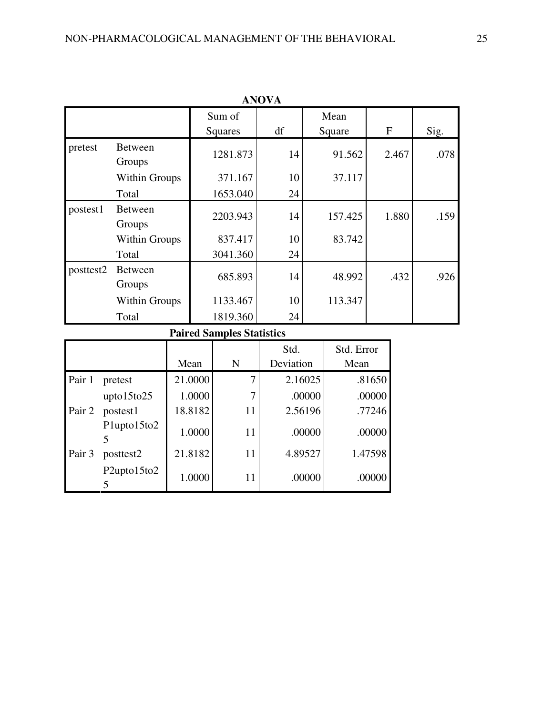| <b>ANOVA</b> |                          |                   |    |                |       |      |  |  |
|--------------|--------------------------|-------------------|----|----------------|-------|------|--|--|
|              |                          | Sum of<br>Squares | df | Mean<br>Square | F     | Sig. |  |  |
| pretest      | <b>Between</b><br>Groups | 1281.873          | 14 | 91.562         | 2.467 | .078 |  |  |
|              | Within Groups            | 371.167           | 10 | 37.117         |       |      |  |  |
|              | Total                    | 1653.040          | 24 |                |       |      |  |  |
| postest1     | <b>Between</b><br>Groups | 2203.943          | 14 | 157.425        | 1.880 | .159 |  |  |
|              | Within Groups            | 837.417           | 10 | 83.742         |       |      |  |  |
|              | Total                    | 3041.360          | 24 |                |       |      |  |  |
| posttest2    | <b>Between</b><br>Groups | 685.893           | 14 | 48.992         | .432  | .926 |  |  |
|              | Within Groups            | 1133.467          | 10 | 113.347        |       |      |  |  |
|              | Total                    | 1819.360          | 24 |                |       |      |  |  |

# **Paired Samples Statistics**

|        |                  |         |    | Std.      | Std. Error |
|--------|------------------|---------|----|-----------|------------|
|        |                  | Mean    | N  | Deviation | Mean       |
| Pair 1 | pretest          | 21.0000 |    | 2.16025   | .81650     |
|        | $upto15$ to $25$ | 1.0000  |    | .00000    | .00000     |
| Pair 2 | postest1         | 18.8182 | 11 | 2.56196   | .77246     |
|        | Plupto15to2      | 1.0000  | 11 | .00000    | .00000     |
| Pair 3 | posttest2        | 21.8182 | 11 | 4.89527   | 1.47598    |
|        | P2upto15to2      | 1.0000  | 11 | .00000    | .00000     |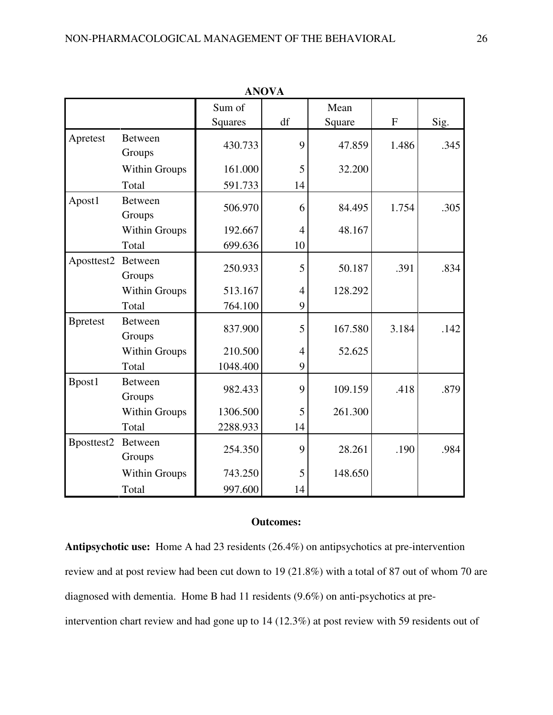|                  |                          | Sum of         |                | Mean    |                           |      |
|------------------|--------------------------|----------------|----------------|---------|---------------------------|------|
|                  |                          | <b>Squares</b> | df             | Square  | $\boldsymbol{\mathrm{F}}$ | Sig. |
| Apretest         | <b>Between</b><br>Groups | 430.733        | 9              | 47.859  | 1.486                     | .345 |
|                  | Within Groups            | 161.000        | 5              | 32.200  |                           |      |
|                  | Total                    | 591.733        | 14             |         |                           |      |
| Apost1           | <b>Between</b><br>Groups | 506.970        | 6              | 84.495  | 1.754                     | .305 |
|                  | Within Groups            | 192.667        | 4              | 48.167  |                           |      |
|                  | Total                    | 699.636        | 10             |         |                           |      |
| Aposttest2       | <b>Between</b><br>Groups | 250.933        | 5              | 50.187  | .391                      | .834 |
|                  | Within Groups            | 513.167        | 4              | 128.292 |                           |      |
|                  | Total                    | 764.100        | 9              |         |                           |      |
| <b>B</b> pretest | <b>Between</b><br>Groups | 837.900        | 5              | 167.580 | 3.184                     | .142 |
|                  | Within Groups            | 210.500        | $\overline{4}$ | 52.625  |                           |      |
|                  | Total                    | 1048.400       | 9              |         |                           |      |
| Bpost1           | <b>Between</b><br>Groups | 982.433        | 9              | 109.159 | .418                      | .879 |
|                  | Within Groups            | 1306.500       | 5              | 261.300 |                           |      |
|                  | Total                    | 2288.933       | 14             |         |                           |      |
| Bposttest2       | <b>Between</b><br>Groups | 254.350        | 9              | 28.261  | .190                      | .984 |
|                  | Within Groups            | 743.250        | 5              | 148.650 |                           |      |
|                  | Total                    | 997.600        | 14             |         |                           |      |

**ANOVA**

## **Outcomes:**

**Antipsychotic use:** Home A had 23 residents (26.4%) on antipsychotics at pre-intervention review and at post review had been cut down to 19 (21.8%) with a total of 87 out of whom 70 are diagnosed with dementia. Home B had 11 residents (9.6%) on anti-psychotics at preintervention chart review and had gone up to 14 (12.3%) at post review with 59 residents out of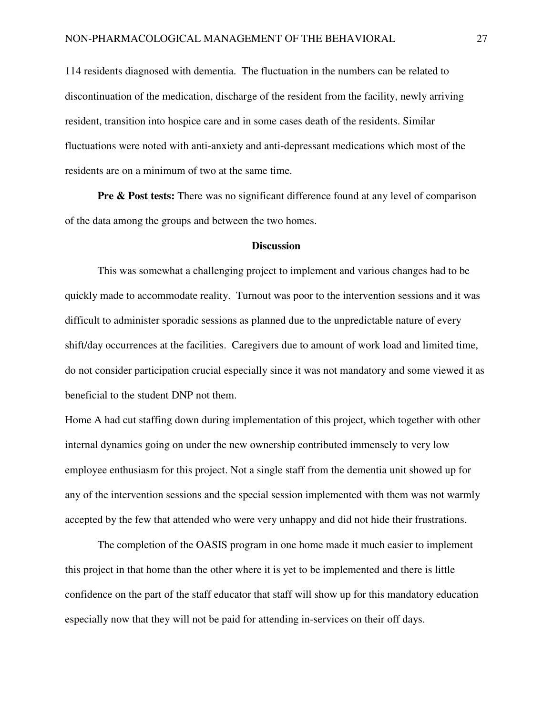114 residents diagnosed with dementia. The fluctuation in the numbers can be related to discontinuation of the medication, discharge of the resident from the facility, newly arriving resident, transition into hospice care and in some cases death of the residents. Similar fluctuations were noted with anti-anxiety and anti-depressant medications which most of the residents are on a minimum of two at the same time.

**Pre & Post tests:** There was no significant difference found at any level of comparison of the data among the groups and between the two homes.

#### **Discussion**

This was somewhat a challenging project to implement and various changes had to be quickly made to accommodate reality. Turnout was poor to the intervention sessions and it was difficult to administer sporadic sessions as planned due to the unpredictable nature of every shift/day occurrences at the facilities. Caregivers due to amount of work load and limited time, do not consider participation crucial especially since it was not mandatory and some viewed it as beneficial to the student DNP not them.

Home A had cut staffing down during implementation of this project, which together with other internal dynamics going on under the new ownership contributed immensely to very low employee enthusiasm for this project. Not a single staff from the dementia unit showed up for any of the intervention sessions and the special session implemented with them was not warmly accepted by the few that attended who were very unhappy and did not hide their frustrations.

The completion of the OASIS program in one home made it much easier to implement this project in that home than the other where it is yet to be implemented and there is little confidence on the part of the staff educator that staff will show up for this mandatory education especially now that they will not be paid for attending in-services on their off days.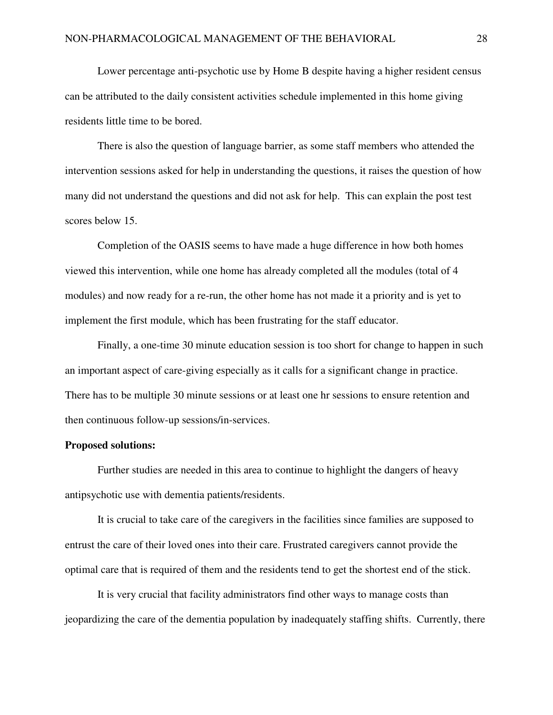Lower percentage anti-psychotic use by Home B despite having a higher resident census can be attributed to the daily consistent activities schedule implemented in this home giving residents little time to be bored.

There is also the question of language barrier, as some staff members who attended the intervention sessions asked for help in understanding the questions, it raises the question of how many did not understand the questions and did not ask for help. This can explain the post test scores below 15.

Completion of the OASIS seems to have made a huge difference in how both homes viewed this intervention, while one home has already completed all the modules (total of 4 modules) and now ready for a re-run, the other home has not made it a priority and is yet to implement the first module, which has been frustrating for the staff educator.

Finally, a one-time 30 minute education session is too short for change to happen in such an important aspect of care-giving especially as it calls for a significant change in practice. There has to be multiple 30 minute sessions or at least one hr sessions to ensure retention and then continuous follow-up sessions/in-services.

#### **Proposed solutions:**

Further studies are needed in this area to continue to highlight the dangers of heavy antipsychotic use with dementia patients/residents.

It is crucial to take care of the caregivers in the facilities since families are supposed to entrust the care of their loved ones into their care. Frustrated caregivers cannot provide the optimal care that is required of them and the residents tend to get the shortest end of the stick.

It is very crucial that facility administrators find other ways to manage costs than jeopardizing the care of the dementia population by inadequately staffing shifts. Currently, there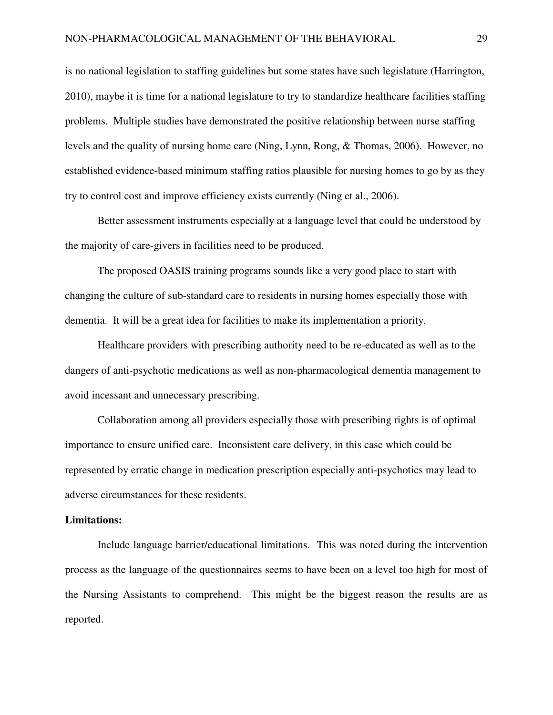is no national legislation to staffing guidelines but some states have such legislature (Harrington, 2010), maybe it is time for a national legislature to try to standardize healthcare facilities staffing problems. Multiple studies have demonstrated the positive relationship between nurse staffing levels and the quality of nursing home care (Ning, Lynn, Rong, & Thomas, 2006). However, no established evidence-based minimum staffing ratios plausible for nursing homes to go by as they try to control cost and improve efficiency exists currently (Ning et al., 2006).

Better assessment instruments especially at a language level that could be understood by the majority of care-givers in facilities need to be produced.

The proposed OASIS training programs sounds like a very good place to start with changing the culture of sub-standard care to residents in nursing homes especially those with dementia. It will be a great idea for facilities to make its implementation a priority.

Healthcare providers with prescribing authority need to be re-educated as well as to the dangers of anti-psychotic medications as well as non-pharmacological dementia management to avoid incessant and unnecessary prescribing.

Collaboration among all providers especially those with prescribing rights is of optimal importance to ensure unified care. Inconsistent care delivery, in this case which could be represented by erratic change in medication prescription especially anti-psychotics may lead to adverse circumstances for these residents.

#### **Limitations:**

Include language barrier/educational limitations. This was noted during the intervention process as the language of the questionnaires seems to have been on a level too high for most of the Nursing Assistants to comprehend. This might be the biggest reason the results are as reported.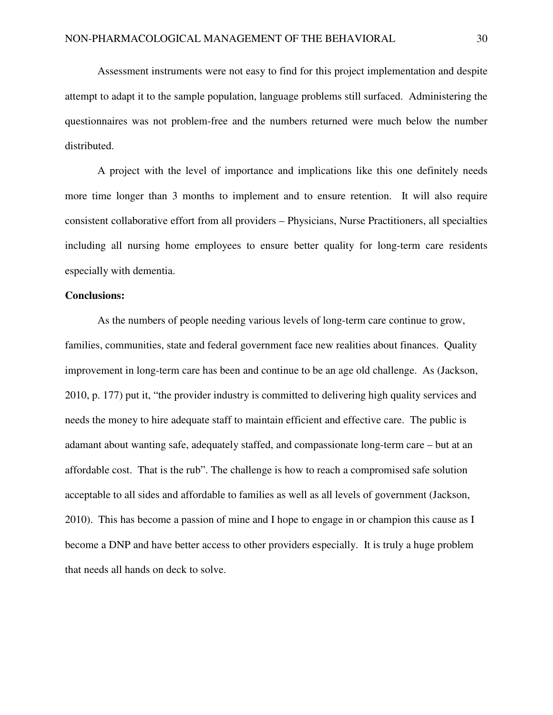Assessment instruments were not easy to find for this project implementation and despite attempt to adapt it to the sample population, language problems still surfaced. Administering the questionnaires was not problem-free and the numbers returned were much below the number distributed.

A project with the level of importance and implications like this one definitely needs more time longer than 3 months to implement and to ensure retention. It will also require consistent collaborative effort from all providers – Physicians, Nurse Practitioners, all specialties including all nursing home employees to ensure better quality for long-term care residents especially with dementia.

#### **Conclusions:**

As the numbers of people needing various levels of long-term care continue to grow, families, communities, state and federal government face new realities about finances. Quality improvement in long-term care has been and continue to be an age old challenge. As (Jackson, 2010, p. 177) put it, "the provider industry is committed to delivering high quality services and needs the money to hire adequate staff to maintain efficient and effective care. The public is adamant about wanting safe, adequately staffed, and compassionate long-term care – but at an affordable cost. That is the rub". The challenge is how to reach a compromised safe solution acceptable to all sides and affordable to families as well as all levels of government (Jackson, 2010). This has become a passion of mine and I hope to engage in or champion this cause as I become a DNP and have better access to other providers especially. It is truly a huge problem that needs all hands on deck to solve.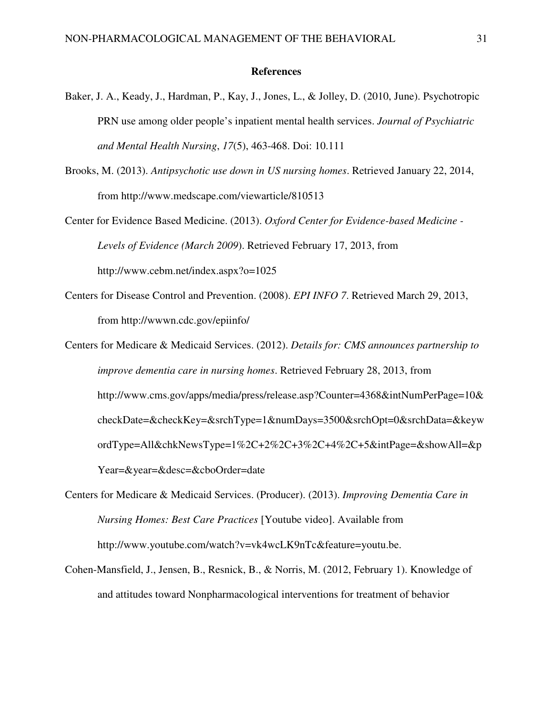#### **References**

- Baker, J. A., Keady, J., Hardman, P., Kay, J., Jones, L., & Jolley, D. (2010, June). Psychotropic PRN use among older people's inpatient mental health services. *Journal of Psychiatric and Mental Health Nursing*, *17*(5), 463-468. Doi: 10.111
- Brooks, M. (2013). *Antipsychotic use down in US nursing homes*. Retrieved January 22, 2014, from http://www.medscape.com/viewarticle/810513
- Center for Evidence Based Medicine. (2013). *Oxford Center for Evidence-based Medicine Levels of Evidence (March 2009*). Retrieved February 17, 2013, from http://www.cebm.net/index.aspx?o=1025
- Centers for Disease Control and Prevention. (2008). *EPI INFO 7*. Retrieved March 29, 2013, from http://wwwn.cdc.gov/epiinfo/
- Centers for Medicare & Medicaid Services. (2012). *Details for: CMS announces partnership to improve dementia care in nursing homes*. Retrieved February 28, 2013, from http://www.cms.gov/apps/media/press/release.asp?Counter=4368&intNumPerPage=10& checkDate=&checkKey=&srchType=1&numDays=3500&srchOpt=0&srchData=&keyw ordType=All&chkNewsType=1%2C+2%2C+3%2C+4%2C+5&intPage=&showAll=&p Year=&year=&desc=&cboOrder=date
- Centers for Medicare & Medicaid Services. (Producer). (2013). *Improving Dementia Care in Nursing Homes: Best Care Practices* [Youtube video]. Available from http://www.youtube.com/watch?v=vk4wcLK9nTc&feature=youtu.be.
- Cohen-Mansfield, J., Jensen, B., Resnick, B., & Norris, M. (2012, February 1). Knowledge of and attitudes toward Nonpharmacological interventions for treatment of behavior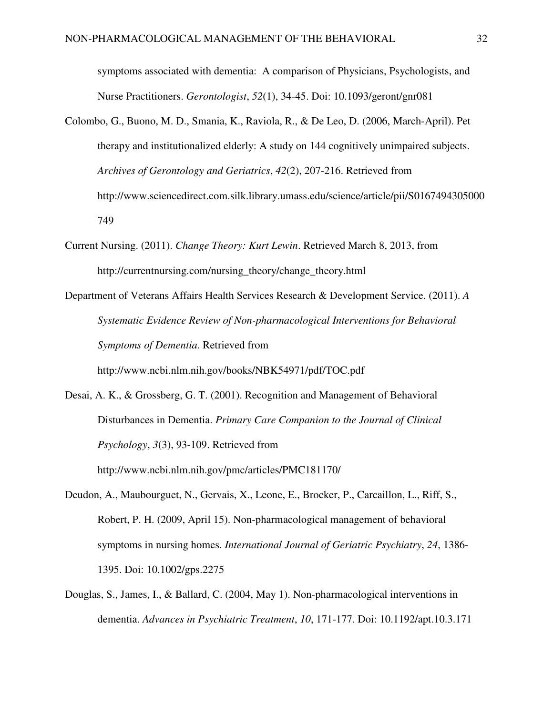symptoms associated with dementia: A comparison of Physicians, Psychologists, and Nurse Practitioners. *Gerontologist*, *52*(1), 34-45. Doi: 10.1093/geront/gnr081

- Colombo, G., Buono, M. D., Smania, K., Raviola, R., & De Leo, D. (2006, March-April). Pet therapy and institutionalized elderly: A study on 144 cognitively unimpaired subjects. *Archives of Gerontology and Geriatrics*, *42*(2), 207-216. Retrieved from http://www.sciencedirect.com.silk.library.umass.edu/science/article/pii/S0167494305000 749
- Current Nursing. (2011). *Change Theory: Kurt Lewin*. Retrieved March 8, 2013, from http://currentnursing.com/nursing\_theory/change\_theory.html
- Department of Veterans Affairs Health Services Research & Development Service. (2011). *A Systematic Evidence Review of Non-pharmacological Interventions for Behavioral Symptoms of Dementia*. Retrieved from http://www.ncbi.nlm.nih.gov/books/NBK54971/pdf/TOC.pdf

Desai, A. K., & Grossberg, G. T. (2001). Recognition and Management of Behavioral Disturbances in Dementia. *Primary Care Companion to the Journal of Clinical Psychology*, *3*(3), 93-109. Retrieved from http://www.ncbi.nlm.nih.gov/pmc/articles/PMC181170/

- Deudon, A., Maubourguet, N., Gervais, X., Leone, E., Brocker, P., Carcaillon, L., Riff, S., Robert, P. H. (2009, April 15). Non-pharmacological management of behavioral symptoms in nursing homes. *International Journal of Geriatric Psychiatry*, *24*, 1386- 1395. Doi: 10.1002/gps.2275
- Douglas, S., James, I., & Ballard, C. (2004, May 1). Non-pharmacological interventions in dementia. *Advances in Psychiatric Treatment*, *10*, 171-177. Doi: 10.1192/apt.10.3.171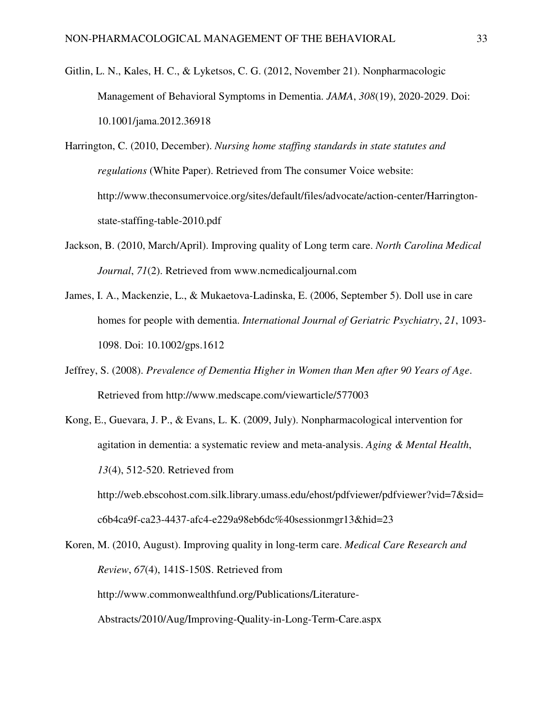- Gitlin, L. N., Kales, H. C., & Lyketsos, C. G. (2012, November 21). Nonpharmacologic Management of Behavioral Symptoms in Dementia. *JAMA*, *308*(19), 2020-2029. Doi: 10.1001/jama.2012.36918
- Harrington, C. (2010, December). *Nursing home staffing standards in state statutes and regulations* (White Paper). Retrieved from The consumer Voice website: http://www.theconsumervoice.org/sites/default/files/advocate/action-center/Harringtonstate-staffing-table-2010.pdf
- Jackson, B. (2010, March/April). Improving quality of Long term care. *North Carolina Medical Journal*, *71*(2). Retrieved from www.ncmedicaljournal.com
- James, I. A., Mackenzie, L., & Mukaetova-Ladinska, E. (2006, September 5). Doll use in care homes for people with dementia. *International Journal of Geriatric Psychiatry*, *21*, 1093- 1098. Doi: 10.1002/gps.1612
- Jeffrey, S. (2008). *Prevalence of Dementia Higher in Women than Men after 90 Years of Age*. Retrieved from http://www.medscape.com/viewarticle/577003
- Kong, E., Guevara, J. P., & Evans, L. K. (2009, July). Nonpharmacological intervention for agitation in dementia: a systematic review and meta-analysis. *Aging & Mental Health*, *13*(4), 512-520. Retrieved from http://web.ebscohost.com.silk.library.umass.edu/ehost/pdfviewer/pdfviewer?vid=7&sid= c6b4ca9f-ca23-4437-afc4-e229a98eb6dc%40sessionmgr13&hid=23

Koren, M. (2010, August). Improving quality in long-term care. *Medical Care Research and Review*, *67*(4), 141S-150S. Retrieved from http://www.commonwealthfund.org/Publications/Literature-Abstracts/2010/Aug/Improving-Quality-in-Long-Term-Care.aspx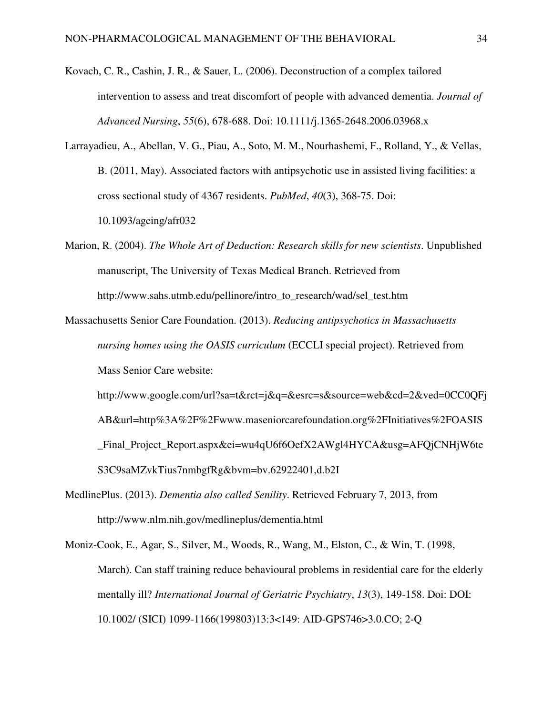- Kovach, C. R., Cashin, J. R., & Sauer, L. (2006). Deconstruction of a complex tailored intervention to assess and treat discomfort of people with advanced dementia. *Journal of Advanced Nursing*, *55*(6), 678-688. Doi: 10.1111/j.1365-2648.2006.03968.x
- Larrayadieu, A., Abellan, V. G., Piau, A., Soto, M. M., Nourhashemi, F., Rolland, Y., & Vellas, B. (2011, May). Associated factors with antipsychotic use in assisted living facilities: a cross sectional study of 4367 residents. *PubMed*, *40*(3), 368-75. Doi: 10.1093/ageing/afr032
- Marion, R. (2004). *The Whole Art of Deduction: Research skills for new scientists*. Unpublished manuscript, The University of Texas Medical Branch. Retrieved from http://www.sahs.utmb.edu/pellinore/intro\_to\_research/wad/sel\_test.htm
- Massachusetts Senior Care Foundation. (2013). *Reducing antipsychotics in Massachusetts nursing homes using the OASIS curriculum* (ECCLI special project). Retrieved from Mass Senior Care website:
	- http://www.google.com/url?sa=t&rct=j&q=&esrc=s&source=web&cd=2&ved=0CC0QFj AB&url=http%3A%2F%2Fwww.maseniorcarefoundation.org%2FInitiatives%2FOASIS \_Final\_Project\_Report.aspx&ei=wu4qU6f6OefX2AWgl4HYCA&usg=AFQjCNHjW6te S3C9saMZvkTius7nmbgfRg&bvm=bv.62922401,d.b2I
- MedlinePlus. (2013). *Dementia also called Senility*. Retrieved February 7, 2013, from http://www.nlm.nih.gov/medlineplus/dementia.html
- Moniz-Cook, E., Agar, S., Silver, M., Woods, R., Wang, M., Elston, C., & Win, T. (1998, March). Can staff training reduce behavioural problems in residential care for the elderly mentally ill? *International Journal of Geriatric Psychiatry*, *13*(3), 149-158. Doi: DOI: 10.1002/ (SICI) 1099-1166(199803)13:3<149: AID-GPS746>3.0.CO; 2-Q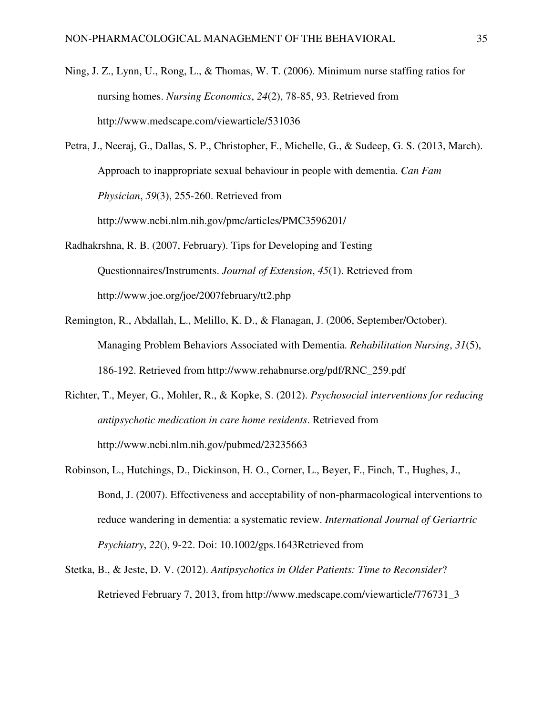- Ning, J. Z., Lynn, U., Rong, L., & Thomas, W. T. (2006). Minimum nurse staffing ratios for nursing homes. *Nursing Economics*, *24*(2), 78-85, 93. Retrieved from http://www.medscape.com/viewarticle/531036
- Petra, J., Neeraj, G., Dallas, S. P., Christopher, F., Michelle, G., & Sudeep, G. S. (2013, March). Approach to inappropriate sexual behaviour in people with dementia. *Can Fam Physician*, *59*(3), 255-260. Retrieved from http://www.ncbi.nlm.nih.gov/pmc/articles/PMC3596201/
- Radhakrshna, R. B. (2007, February). Tips for Developing and Testing Questionnaires/Instruments. *Journal of Extension*, *45*(1). Retrieved from http://www.joe.org/joe/2007february/tt2.php
- Remington, R., Abdallah, L., Melillo, K. D., & Flanagan, J. (2006, September/October). Managing Problem Behaviors Associated with Dementia. *Rehabilitation Nursing*, *31*(5), 186-192. Retrieved from http://www.rehabnurse.org/pdf/RNC\_259.pdf
- Richter, T., Meyer, G., Mohler, R., & Kopke, S. (2012). *Psychosocial interventions for reducing antipsychotic medication in care home residents*. Retrieved from http://www.ncbi.nlm.nih.gov/pubmed/23235663
- Robinson, L., Hutchings, D., Dickinson, H. O., Corner, L., Beyer, F., Finch, T., Hughes, J., Bond, J. (2007). Effectiveness and acceptability of non-pharmacological interventions to reduce wandering in dementia: a systematic review. *International Journal of Geriartric Psychiatry*, *22*(), 9-22. Doi: 10.1002/gps.1643Retrieved from
- Stetka, B., & Jeste, D. V. (2012). *Antipsychotics in Older Patients: Time to Reconsider*? Retrieved February 7, 2013, from http://www.medscape.com/viewarticle/776731\_3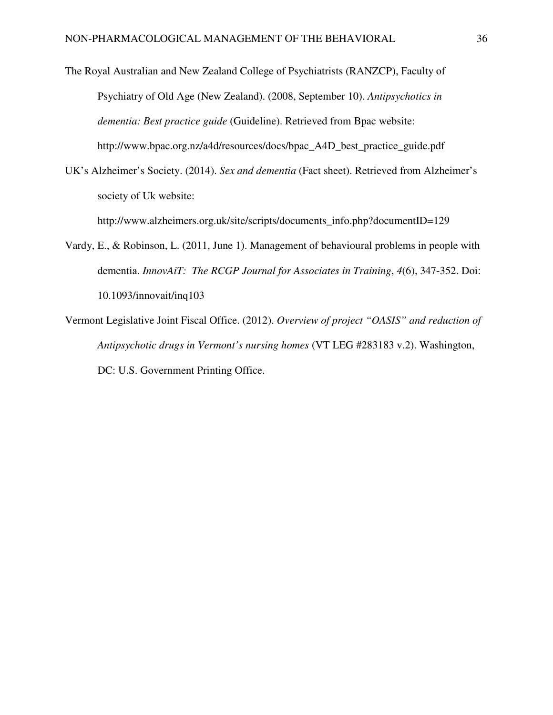The Royal Australian and New Zealand College of Psychiatrists (RANZCP), Faculty of Psychiatry of Old Age (New Zealand). (2008, September 10). *Antipsychotics in dementia: Best practice guide* (Guideline). Retrieved from Bpac website: http://www.bpac.org.nz/a4d/resources/docs/bpac\_A4D\_best\_practice\_guide.pdf

UK's Alzheimer's Society. (2014). *Sex and dementia* (Fact sheet). Retrieved from Alzheimer's society of Uk website:

http://www.alzheimers.org.uk/site/scripts/documents\_info.php?documentID=129

- Vardy, E., & Robinson, L. (2011, June 1). Management of behavioural problems in people with dementia. *InnovAiT: The RCGP Journal for Associates in Training*, *4*(6), 347-352. Doi: 10.1093/innovait/inq103
- Vermont Legislative Joint Fiscal Office. (2012). *Overview of project "OASIS" and reduction of Antipsychotic drugs in Vermont's nursing homes* (VT LEG #283183 v.2). Washington, DC: U.S. Government Printing Office.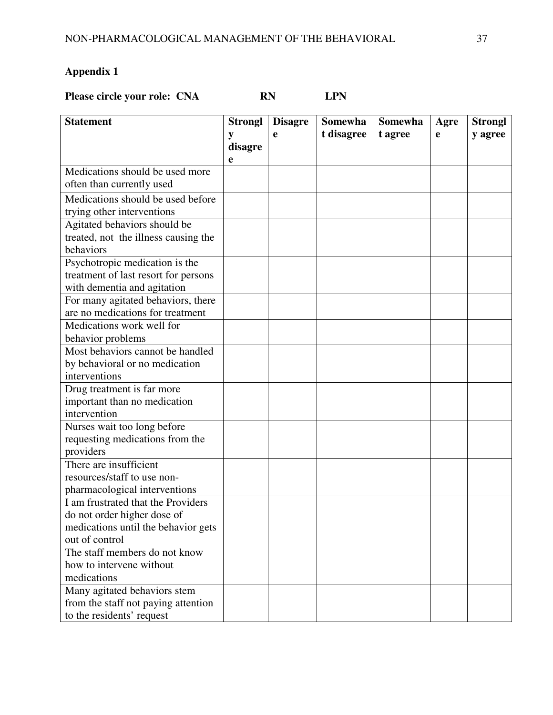**Please circle your role: CNA RN RN LPN** 

| <b>Statement</b>                     | <b>Strongl</b> | <b>Disagre</b> | Somewha    | <b>Somewha</b> | Agre | <b>Strongl</b> |
|--------------------------------------|----------------|----------------|------------|----------------|------|----------------|
|                                      | y              | e              | t disagree | t agree        | e    | y agree        |
|                                      | disagre        |                |            |                |      |                |
|                                      | e              |                |            |                |      |                |
| Medications should be used more      |                |                |            |                |      |                |
| often than currently used            |                |                |            |                |      |                |
| Medications should be used before    |                |                |            |                |      |                |
| trying other interventions           |                |                |            |                |      |                |
| Agitated behaviors should be         |                |                |            |                |      |                |
| treated, not the illness causing the |                |                |            |                |      |                |
| behaviors                            |                |                |            |                |      |                |
| Psychotropic medication is the       |                |                |            |                |      |                |
| treatment of last resort for persons |                |                |            |                |      |                |
| with dementia and agitation          |                |                |            |                |      |                |
| For many agitated behaviors, there   |                |                |            |                |      |                |
| are no medications for treatment     |                |                |            |                |      |                |
| Medications work well for            |                |                |            |                |      |                |
| behavior problems                    |                |                |            |                |      |                |
| Most behaviors cannot be handled     |                |                |            |                |      |                |
| by behavioral or no medication       |                |                |            |                |      |                |
| interventions                        |                |                |            |                |      |                |
| Drug treatment is far more           |                |                |            |                |      |                |
| important than no medication         |                |                |            |                |      |                |
| intervention                         |                |                |            |                |      |                |
| Nurses wait too long before          |                |                |            |                |      |                |
| requesting medications from the      |                |                |            |                |      |                |
| providers                            |                |                |            |                |      |                |
| There are insufficient               |                |                |            |                |      |                |
| resources/staff to use non-          |                |                |            |                |      |                |
| pharmacological interventions        |                |                |            |                |      |                |
| I am frustrated that the Providers   |                |                |            |                |      |                |
| do not order higher dose of          |                |                |            |                |      |                |
| medications until the behavior gets  |                |                |            |                |      |                |
| out of control                       |                |                |            |                |      |                |
| The staff members do not know        |                |                |            |                |      |                |
| how to intervene without             |                |                |            |                |      |                |
| medications                          |                |                |            |                |      |                |
| Many agitated behaviors stem         |                |                |            |                |      |                |
| from the staff not paying attention  |                |                |            |                |      |                |
| to the residents' request            |                |                |            |                |      |                |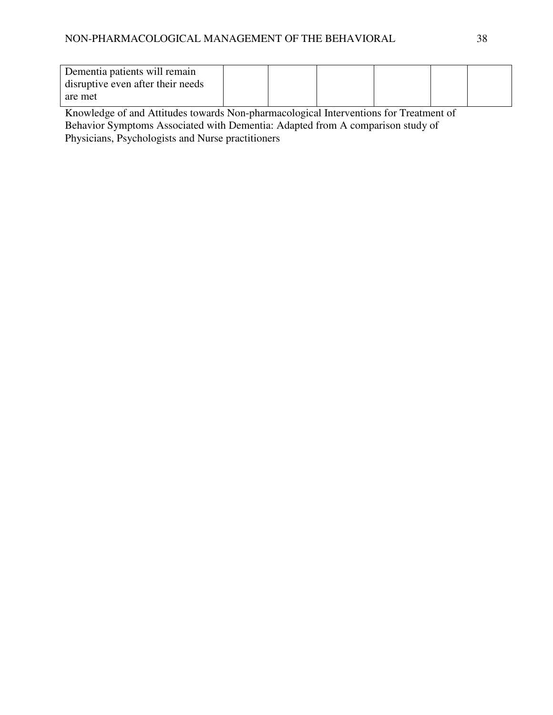| Dementia patients will remain     |  |  |  |
|-----------------------------------|--|--|--|
| disruptive even after their needs |  |  |  |
| are met                           |  |  |  |

Knowledge of and Attitudes towards Non-pharmacological Interventions for Treatment of Behavior Symptoms Associated with Dementia: Adapted from A comparison study of Physicians, Psychologists and Nurse practitioners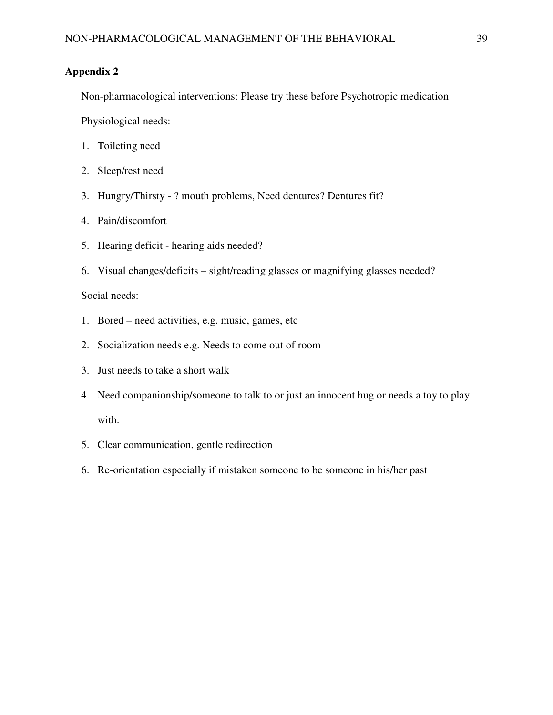Non-pharmacological interventions: Please try these before Psychotropic medication

Physiological needs:

- 1. Toileting need
- 2. Sleep/rest need
- 3. Hungry/Thirsty ? mouth problems, Need dentures? Dentures fit?
- 4. Pain/discomfort
- 5. Hearing deficit hearing aids needed?
- 6. Visual changes/deficits sight/reading glasses or magnifying glasses needed?

## Social needs:

- 1. Bored need activities, e.g. music, games, etc
- 2. Socialization needs e.g. Needs to come out of room
- 3. Just needs to take a short walk
- 4. Need companionship/someone to talk to or just an innocent hug or needs a toy to play with.
- 5. Clear communication, gentle redirection
- 6. Re-orientation especially if mistaken someone to be someone in his/her past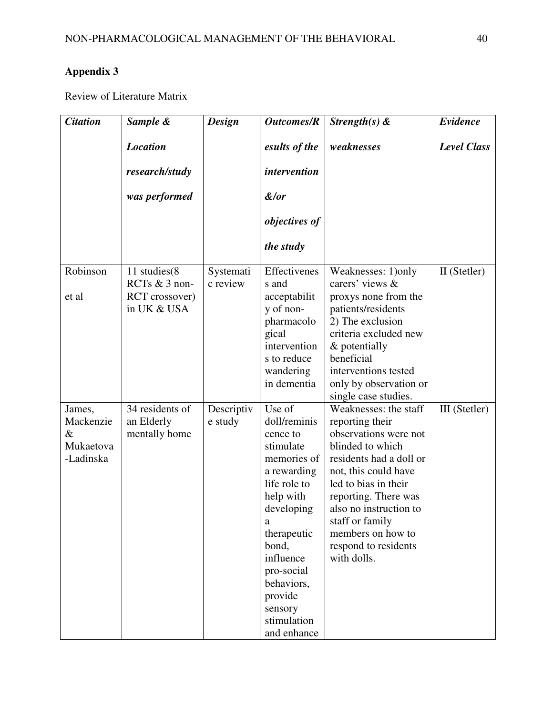Review of Literature Matrix

| <b>Citation</b>                                       | Sample &                                                       | <b>Design</b>         | <b>Outcomes/R</b>                                                                                                                                                                                                                                  | Strength(s) $\&$                                                                                                                                                                                                                                                                                  | Evidence           |
|-------------------------------------------------------|----------------------------------------------------------------|-----------------------|----------------------------------------------------------------------------------------------------------------------------------------------------------------------------------------------------------------------------------------------------|---------------------------------------------------------------------------------------------------------------------------------------------------------------------------------------------------------------------------------------------------------------------------------------------------|--------------------|
|                                                       | <b>Location</b>                                                |                       | esults of the                                                                                                                                                                                                                                      | weaknesses                                                                                                                                                                                                                                                                                        | <b>Level Class</b> |
|                                                       | research/study                                                 |                       | <i>intervention</i>                                                                                                                                                                                                                                |                                                                                                                                                                                                                                                                                                   |                    |
|                                                       | was performed                                                  |                       | &/or                                                                                                                                                                                                                                               |                                                                                                                                                                                                                                                                                                   |                    |
|                                                       |                                                                |                       | objectives of                                                                                                                                                                                                                                      |                                                                                                                                                                                                                                                                                                   |                    |
|                                                       |                                                                |                       | the study                                                                                                                                                                                                                                          |                                                                                                                                                                                                                                                                                                   |                    |
| Robinson<br>et al                                     | 11 studies(8<br>RCTs & 3 non-<br>RCT crossover)<br>in UK & USA | Systemati<br>c review | Effectivenes<br>s and<br>acceptabilit<br>y of non-<br>pharmacolo<br>gical<br>intervention<br>s to reduce<br>wandering<br>in dementia                                                                                                               | Weaknesses: 1) only<br>carers' views &<br>proxys none from the<br>patients/residents<br>2) The exclusion<br>criteria excluded new<br>& potentially<br>beneficial<br>interventions tested<br>only by observation or<br>single case studies.                                                        | II (Stetler)       |
| James,<br>Mackenzie<br>$\&$<br>Mukaetova<br>-Ladinska | 34 residents of<br>an Elderly<br>mentally home                 | Descriptiv<br>e study | Use of<br>doll/reminis<br>cence to<br>stimulate<br>memories of<br>a rewarding<br>life role to<br>help with<br>developing<br>a<br>therapeutic<br>bond,<br>influence<br>pro-social<br>behaviors,<br>provide<br>sensory<br>stimulation<br>and enhance | Weaknesses: the staff<br>reporting their<br>observations were not<br>blinded to which<br>residents had a doll or<br>not, this could have<br>led to bias in their<br>reporting. There was<br>also no instruction to<br>staff or family<br>members on how to<br>respond to residents<br>with dolls. | III (Stetler)      |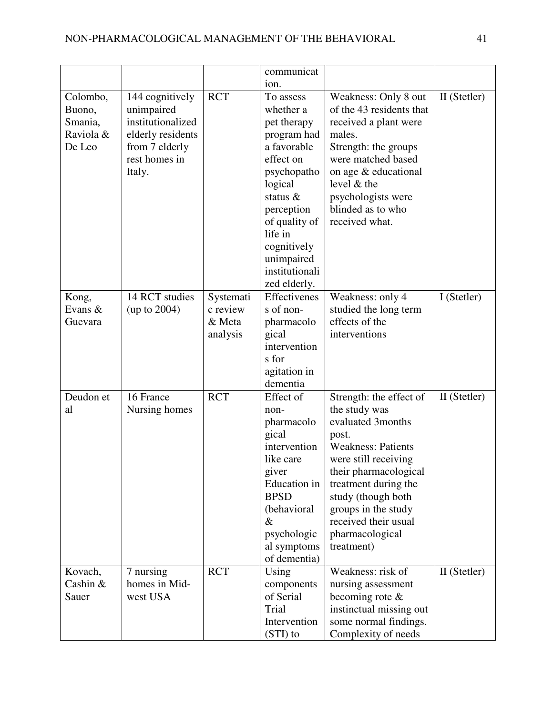|           |                                 |            | communicat               |                                            |              |
|-----------|---------------------------------|------------|--------------------------|--------------------------------------------|--------------|
|           |                                 |            | ion.                     |                                            |              |
| Colombo,  | 144 cognitively                 | <b>RCT</b> | To assess                | Weakness: Only 8 out                       | II (Stetler) |
| Buono,    | unimpaired                      |            | whether a                | of the 43 residents that                   |              |
| Smania,   | institutionalized               |            | pet therapy              | received a plant were                      |              |
| Raviola & | elderly residents               |            | program had              | males.                                     |              |
| De Leo    | from 7 elderly<br>rest homes in |            | a favorable<br>effect on | Strength: the groups<br>were matched based |              |
|           |                                 |            |                          |                                            |              |
|           | Italy.                          |            | psychopatho              | on age & educational<br>level & the        |              |
|           |                                 |            | logical<br>status $\&$   | psychologists were                         |              |
|           |                                 |            | perception               | blinded as to who                          |              |
|           |                                 |            | of quality of            | received what.                             |              |
|           |                                 |            | life in                  |                                            |              |
|           |                                 |            | cognitively              |                                            |              |
|           |                                 |            | unimpaired               |                                            |              |
|           |                                 |            | institutionali           |                                            |              |
|           |                                 |            | zed elderly.             |                                            |              |
| Kong,     | 14 RCT studies                  | Systemati  | Effectivenes             | Weakness: only 4                           | I (Stetler)  |
| Evans &   | (up to 2004)                    | c review   | s of non-                | studied the long term                      |              |
| Guevara   |                                 | & Meta     | pharmacolo               | effects of the                             |              |
|           |                                 | analysis   | gical                    | interventions                              |              |
|           |                                 |            | intervention             |                                            |              |
|           |                                 |            | s for                    |                                            |              |
|           |                                 |            | agitation in             |                                            |              |
|           |                                 |            | dementia                 |                                            |              |
| Deudon et | 16 France                       | <b>RCT</b> | Effect of                | Strength: the effect of                    | II (Stetler) |
| al        | Nursing homes                   |            | non-                     | the study was                              |              |
|           |                                 |            | pharmacolo               | evaluated 3months                          |              |
|           |                                 |            | gical                    | post.                                      |              |
|           |                                 |            | intervention             | <b>Weakness: Patients</b>                  |              |
|           |                                 |            | like care                | were still receiving                       |              |
|           |                                 |            | giver<br>Education in    | their pharmacological                      |              |
|           |                                 |            | <b>BPSD</b>              | treatment during the<br>study (though both |              |
|           |                                 |            | (behavioral              | groups in the study                        |              |
|           |                                 |            | $\&$                     | received their usual                       |              |
|           |                                 |            | psychologic              | pharmacological                            |              |
|           |                                 |            | al symptoms              | treatment)                                 |              |
|           |                                 |            | of dementia)             |                                            |              |
| Kovach,   | 7 nursing                       | <b>RCT</b> | Using                    | Weakness: risk of                          | II (Stetler) |
| Cashin &  | homes in Mid-                   |            | components               | nursing assessment                         |              |
| Sauer     | west USA                        |            | of Serial                | becoming rote $\&$                         |              |
|           |                                 |            | Trial                    | instinctual missing out                    |              |
|           |                                 |            | Intervention             | some normal findings.                      |              |
|           |                                 |            | (STI) to                 | Complexity of needs                        |              |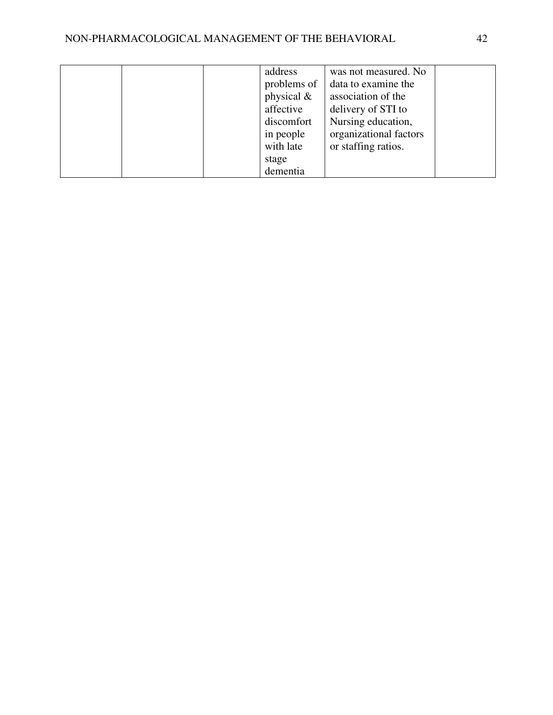|  | address       | was not measured. No   |  |
|--|---------------|------------------------|--|
|  | problems of   | data to examine the    |  |
|  | physical $\&$ | association of the     |  |
|  | affective     | delivery of STI to     |  |
|  | discomfort    | Nursing education,     |  |
|  | in people     | organizational factors |  |
|  | with late     | or staffing ratios.    |  |
|  | stage         |                        |  |
|  | dementia      |                        |  |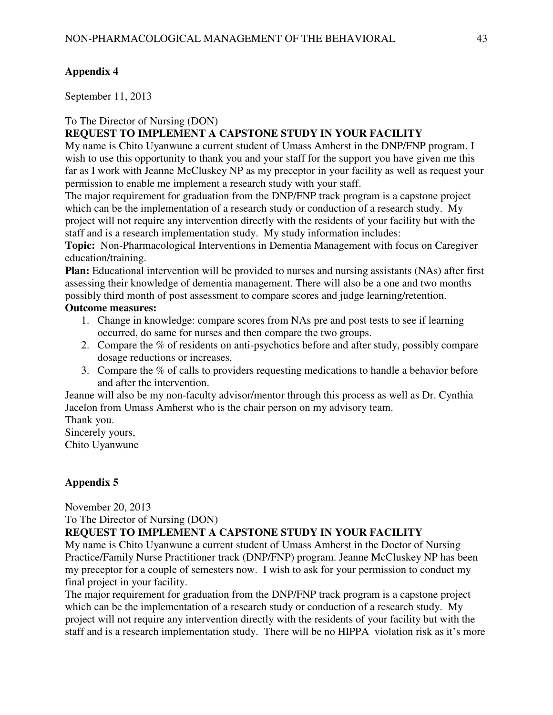September 11, 2013

## To The Director of Nursing (DON)

# **REQUEST TO IMPLEMENT A CAPSTONE STUDY IN YOUR FACILITY**

My name is Chito Uyanwune a current student of Umass Amherst in the DNP/FNP program. I wish to use this opportunity to thank you and your staff for the support you have given me this far as I work with Jeanne McCluskey NP as my preceptor in your facility as well as request your permission to enable me implement a research study with your staff.

The major requirement for graduation from the DNP/FNP track program is a capstone project which can be the implementation of a research study or conduction of a research study. My project will not require any intervention directly with the residents of your facility but with the staff and is a research implementation study. My study information includes:

**Topic:** Non-Pharmacological Interventions in Dementia Management with focus on Caregiver education/training.

**Plan:** Educational intervention will be provided to nurses and nursing assistants (NAs) after first assessing their knowledge of dementia management. There will also be a one and two months possibly third month of post assessment to compare scores and judge learning/retention.

## **Outcome measures:**

- 1. Change in knowledge: compare scores from NAs pre and post tests to see if learning occurred, do same for nurses and then compare the two groups.
- 2. Compare the % of residents on anti-psychotics before and after study, possibly compare dosage reductions or increases.
- 3. Compare the % of calls to providers requesting medications to handle a behavior before and after the intervention.

Jeanne will also be my non-faculty advisor/mentor through this process as well as Dr. Cynthia Jacelon from Umass Amherst who is the chair person on my advisory team.

Thank you.

Sincerely yours,

Chito Uyanwune

# **Appendix 5**

November 20, 2013

To The Director of Nursing (DON)

# **REQUEST TO IMPLEMENT A CAPSTONE STUDY IN YOUR FACILITY**

My name is Chito Uyanwune a current student of Umass Amherst in the Doctor of Nursing Practice/Family Nurse Practitioner track (DNP/FNP) program. Jeanne McCluskey NP has been my preceptor for a couple of semesters now. I wish to ask for your permission to conduct my final project in your facility.

The major requirement for graduation from the DNP/FNP track program is a capstone project which can be the implementation of a research study or conduction of a research study. My project will not require any intervention directly with the residents of your facility but with the staff and is a research implementation study. There will be no HIPPA violation risk as it's more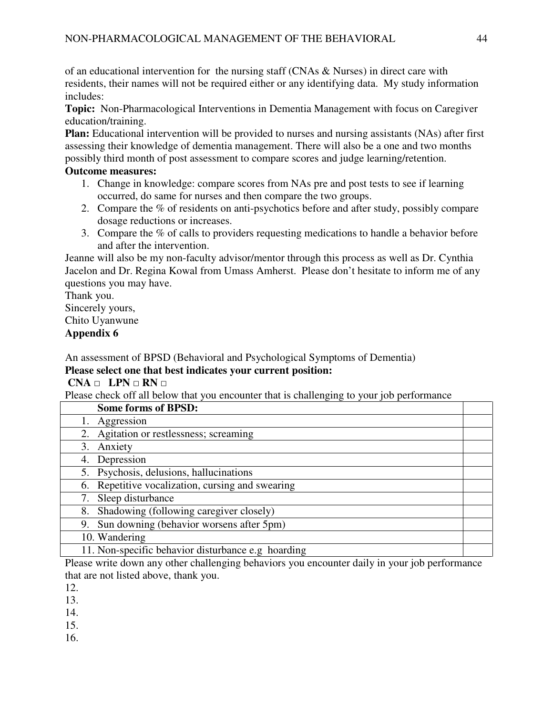of an educational intervention for the nursing staff (CNAs & Nurses) in direct care with residents, their names will not be required either or any identifying data. My study information includes:

**Topic:** Non-Pharmacological Interventions in Dementia Management with focus on Caregiver education/training.

**Plan:** Educational intervention will be provided to nurses and nursing assistants (NAs) after first assessing their knowledge of dementia management. There will also be a one and two months possibly third month of post assessment to compare scores and judge learning/retention.

## **Outcome measures:**

- 1. Change in knowledge: compare scores from NAs pre and post tests to see if learning occurred, do same for nurses and then compare the two groups.
- 2. Compare the % of residents on anti-psychotics before and after study, possibly compare dosage reductions or increases.
- 3. Compare the % of calls to providers requesting medications to handle a behavior before and after the intervention.

Jeanne will also be my non-faculty advisor/mentor through this process as well as Dr. Cynthia Jacelon and Dr. Regina Kowal from Umass Amherst. Please don't hesitate to inform me of any questions you may have.

Thank you. Sincerely yours, Chito Uyanwune **Appendix 6** 

An assessment of BPSD (Behavioral and Psychological Symptoms of Dementia) **Please select one that best indicates your current position:** 

 **CNA** □ **LPN** □ **RN** □

Please check off all below that you encounter that is challenging to your job performance

| <b>Some forms of BPSD:</b>                         |  |
|----------------------------------------------------|--|
| Aggression                                         |  |
| 2. Agitation or restlessness; screaming            |  |
| Anxiety<br>3.                                      |  |
| 4. Depression                                      |  |
| 5. Psychosis, delusions, hallucinations            |  |
| 6. Repetitive vocalization, cursing and swearing   |  |
| 7. Sleep disturbance                               |  |
| Shadowing (following caregiver closely)<br>8.      |  |
| 9. Sun downing (behavior worsens after 5pm)        |  |
| 10. Wandering                                      |  |
| 11. Non-specific behavior disturbance e.g hoarding |  |

Please write down any other challenging behaviors you encounter daily in your job performance that are not listed above, thank you.

12.

13.

14.

15.

16.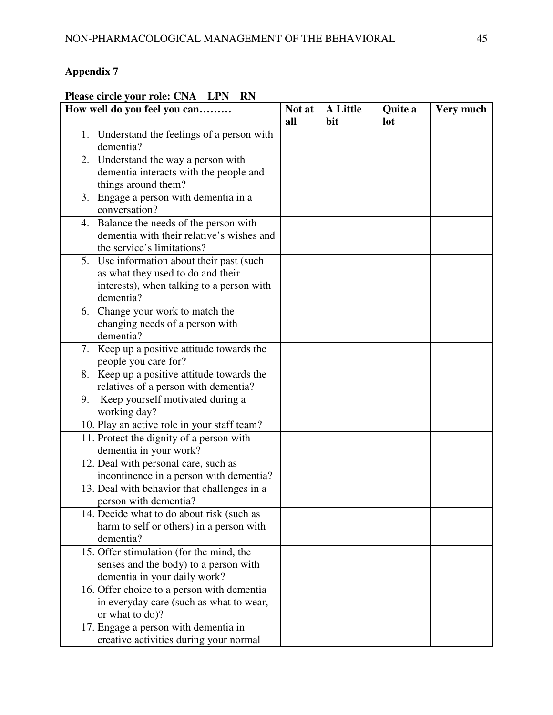## **Please circle your role: CNA LPN RN**

| How well do you feel you can                             | Not at | <b>A Little</b> | Quite a | Very much |
|----------------------------------------------------------|--------|-----------------|---------|-----------|
|                                                          | all    | bit             | lot     |           |
| 1. Understand the feelings of a person with<br>dementia? |        |                 |         |           |
| 2. Understand the way a person with                      |        |                 |         |           |
| dementia interacts with the people and                   |        |                 |         |           |
| things around them?                                      |        |                 |         |           |
| 3. Engage a person with dementia in a                    |        |                 |         |           |
| conversation?                                            |        |                 |         |           |
| 4. Balance the needs of the person with                  |        |                 |         |           |
| dementia with their relative's wishes and                |        |                 |         |           |
| the service's limitations?                               |        |                 |         |           |
| 5. Use information about their past (such                |        |                 |         |           |
| as what they used to do and their                        |        |                 |         |           |
| interests), when talking to a person with                |        |                 |         |           |
| dementia?                                                |        |                 |         |           |
| Change your work to match the<br>6.                      |        |                 |         |           |
| changing needs of a person with                          |        |                 |         |           |
| dementia?                                                |        |                 |         |           |
| 7. Keep up a positive attitude towards the               |        |                 |         |           |
| people you care for?                                     |        |                 |         |           |
| 8. Keep up a positive attitude towards the               |        |                 |         |           |
| relatives of a person with dementia?                     |        |                 |         |           |
| Keep yourself motivated during a<br>9.                   |        |                 |         |           |
| working day?                                             |        |                 |         |           |
| 10. Play an active role in your staff team?              |        |                 |         |           |
| 11. Protect the dignity of a person with                 |        |                 |         |           |
| dementia in your work?                                   |        |                 |         |           |
| 12. Deal with personal care, such as                     |        |                 |         |           |
| incontinence in a person with dementia?                  |        |                 |         |           |
| 13. Deal with behavior that challenges in a              |        |                 |         |           |
| person with dementia?                                    |        |                 |         |           |
| 14. Decide what to do about risk (such as                |        |                 |         |           |
| harm to self or others) in a person with                 |        |                 |         |           |
| dementia?                                                |        |                 |         |           |
| 15. Offer stimulation (for the mind, the                 |        |                 |         |           |
| senses and the body) to a person with                    |        |                 |         |           |
| dementia in your daily work?                             |        |                 |         |           |
| 16. Offer choice to a person with dementia               |        |                 |         |           |
| in everyday care (such as what to wear,                  |        |                 |         |           |
| or what to do)?                                          |        |                 |         |           |
| 17. Engage a person with dementia in                     |        |                 |         |           |
| creative activities during your normal                   |        |                 |         |           |